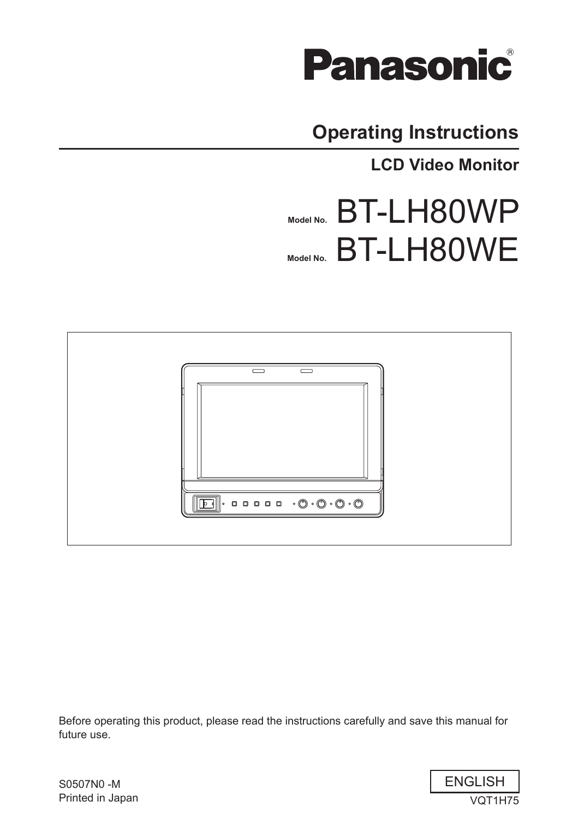

# **Operating Instructions**

**LCD Video Monitor**

# **Model No.** BT-LH80WP **Model No.** BT-LH80WE



Before operating this product, please read the instructions carefully and save this manual for future use.



S0507N0 -M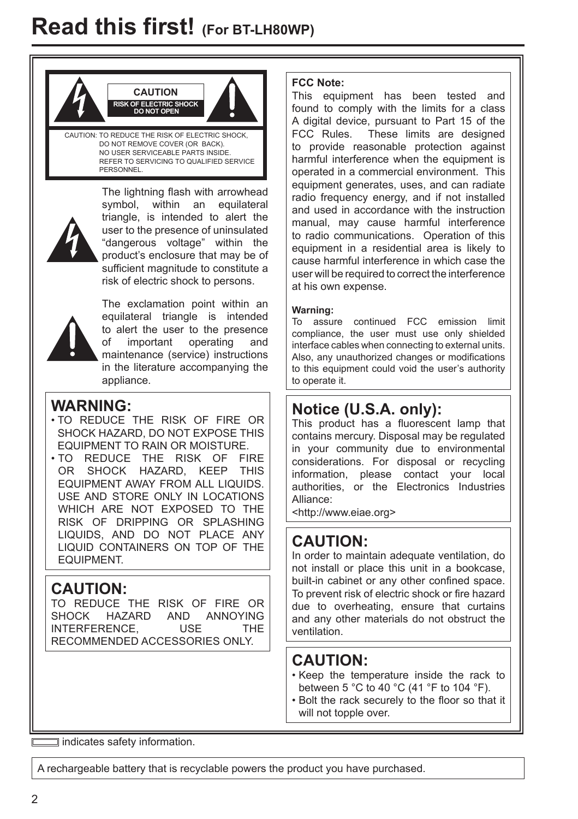

REFER TO SERVICING TO QUALIFIED SERVICE PERSONNEL



The lightning flash with arrowhead symbol, within an equilateral triangle, is intended to alert the user to the presence of uninsulated "dangerous voltage" within the product's enclosure that may be of sufficient magnitude to constitute a risk of electric shock to persons.



The exclamation point within an equilateral triangle is intended to alert the user to the presence of important operating and maintenance (service) instructions in the literature accompanying the appliance.

# **WARNING:**

- TO REDUCE THE RISK OF FIRE OR SHOCK HAZARD, DO NOT EXPOSE THIS EQUIPMENT TO RAIN OR MOISTURE.
- TO REDUCE THE RISK OF FIRE OR SHOCK HAZARD, KEEP THIS EQUIPMENT AWAY FROM ALL LIQUIDS. USE AND STORE ONLY IN LOCATIONS WHICH ARE NOT EXPOSED TO THE RISK OF DRIPPING OR SPLASHING LIQUIDS, AND DO NOT PLACE ANY LIQUID CONTAINERS ON TOP OF THE EQUIPMENT.

# **CAUTION:**

TO REDUCE THE RISK OF FIRE OR SHOCK HAZARD AND ANNOYING INTERFERENCE, USE THE RECOMMENDED ACCESSORIES ONLY.

## **FCC Note:**

This equipment has been tested and found to comply with the limits for a class A digital device, pursuant to Part 15 of the FCC Rules. These limits are designed to provide reasonable protection against harmful interference when the equipment is operated in a commercial environment. This equipment generates, uses, and can radiate radio frequency energy, and if not installed and used in accordance with the instruction manual, may cause harmful interference to radio communications. Operation of this equipment in a residential area is likely to cause harmful interference in which case the user will be required to correct the interference at his own expense.

### **Warning:**

To assure continued FCC emission limit compliance, the user must use only shielded interface cables when connecting to external units. Also, any unauthorized changes or modifications to this equipment could void the user's authority to operate it.

# **Notice (U.S.A. only):**

This product has a fluorescent lamp that contains mercury. Disposal may be regulated in your community due to environmental considerations. For disposal or recycling information, please contact your local authorities, or the Electronics Industries Alliance:

<http://www.eiae.org>

# **CAUTION:**

In order to maintain adequate ventilation, do not install or place this unit in a bookcase, built-in cabinet or any other confined space. To prevent risk of electric shock or fire hazard due to overheating, ensure that curtains and any other materials do not obstruct the ventilation.

# **CAUTION:**

- Keep the temperature inside the rack to between 5 °C to 40 °C (41 °F to 104 °F).
- Bolt the rack securely to the floor so that it will not topple over.

indicates safety information.

A rechargeable battery that is recyclable powers the product you have purchased.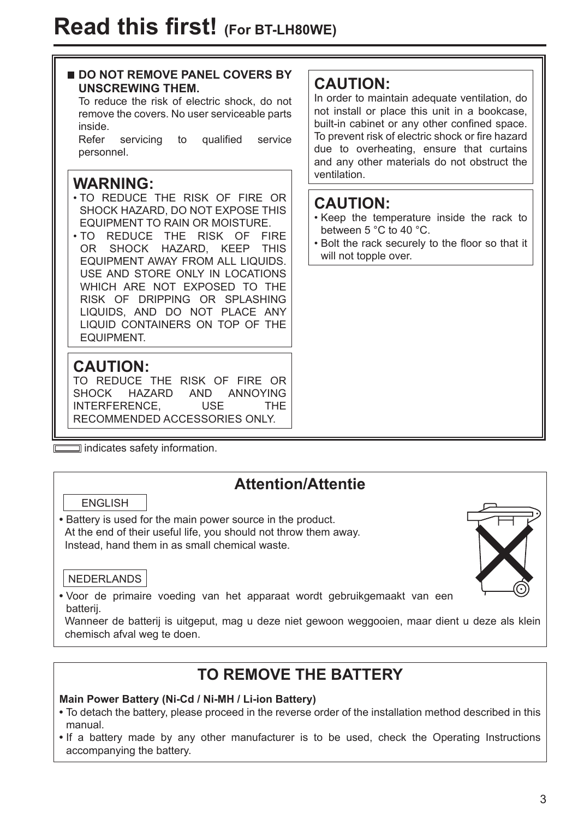# **DO NOT REMOVE PANEL COVERS BY UNSCREWING THEM.** To reduce the risk of electric shock, do not remove the covers. No user serviceable parts inside. Refer servicing to qualified service personnel. **WARNING:** • TO REDUCE THE RISK OF FIRE OR SHOCK HAZARD, DO NOT EXPOSE THIS EQUIPMENT TO RAIN OR MOISTURE. • TO REDUCE THE RISK OF FIRE OR SHOCK HAZARD, KEEP THIS EQUIPMENT AWAY FROM ALL LIQUIDS. USE AND STORE ONLY IN LOCATIONS WHICH ARE NOT EXPOSED TO THE RISK OF DRIPPING OR SPLASHING LIQUIDS, AND DO NOT PLACE ANY LIQUID CONTAINERS ON TOP OF THE **EQUIPMENT CAUTION:** TO REDUCE THE RISK OF FIRE OR ventilation.

SHOCK HAZARD AND ANNOYING INTERFERENCE, USE THE RECOMMENDED ACCESSORIES ONLY.

 $\equiv$  indicates safety information.

# **Attention/Attentie**

ENGLISH

**•** Battery is used for the main power source in the product. At the end of their useful life, you should not throw them away. Instead, hand them in as small chemical waste.

# NEDERLANDS

**•** Voor de primaire voeding van het apparaat wordt gebruikgemaakt van een batterij.

 Wanneer de batterij is uitgeput, mag u deze niet gewoon weggooien, maar dient u deze als klein chemisch afval weg te doen.

# **TO REMOVE THE BATTERY**

# **Main Power Battery (Ni-Cd / Ni-MH / Li-ion Battery)**

- To detach the battery, please proceed in the reverse order of the installation method described in this manual.
- If a battery made by any other manufacturer is to be used, check the Operating Instructions accompanying the battery.

# **CAUTION:**

In order to maintain adequate ventilation, do not install or place this unit in a bookcase, built-in cabinet or any other confined space. To prevent risk of electric shock or fire hazard due to overheating, ensure that curtains and any other materials do not obstruct the

# **CAUTION:**

- Keep the temperature inside the rack to between 5 °C to 40 °C.
- Bolt the rack securely to the floor so that it will not topple over.

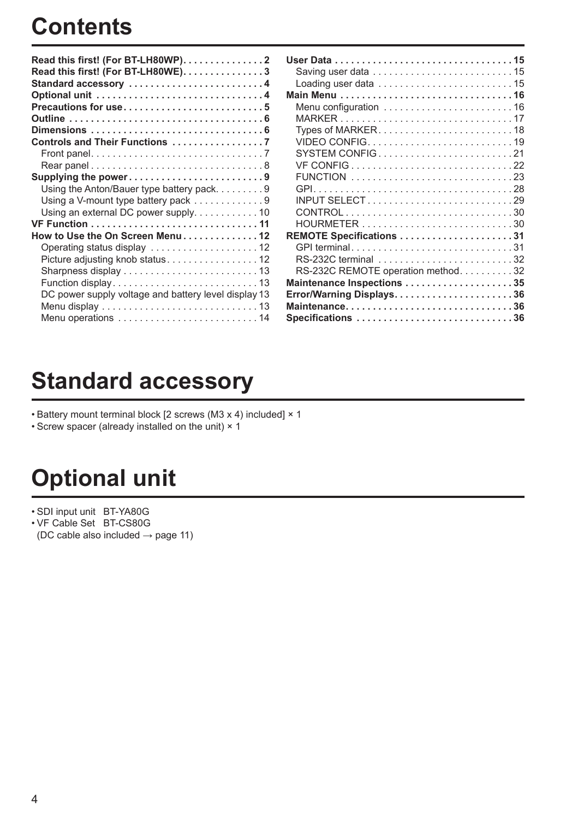# **Contents**

| Read this first! (For BT-LH80WP)2                               |
|-----------------------------------------------------------------|
| Read this first! (For BT-LH80WE)3                               |
| Standard accessory 4                                            |
|                                                                 |
| Precautions for use5                                            |
|                                                                 |
|                                                                 |
| Controls and Their Functions 7                                  |
|                                                                 |
|                                                                 |
| Supplying the power9                                            |
| Using the Anton/Bauer type battery pack. 9                      |
| Using a V-mount type battery pack $\ldots \ldots \ldots \ldots$ |
|                                                                 |
|                                                                 |
| How to Use the On Screen Menu12                                 |
|                                                                 |
| Picture adjusting knob status12                                 |
|                                                                 |
|                                                                 |
| DC power supply voltage and battery level display 13            |
|                                                                 |
|                                                                 |

| Loading user data $\ldots \ldots \ldots \ldots \ldots \ldots \ldots \ldots 15$ |
|--------------------------------------------------------------------------------|
|                                                                                |
|                                                                                |
|                                                                                |
|                                                                                |
| VIDEO CONFIG19                                                                 |
|                                                                                |
|                                                                                |
|                                                                                |
|                                                                                |
|                                                                                |
|                                                                                |
|                                                                                |
| REMOTE Specifications 31                                                       |
| GPI terminal31                                                                 |
| RS-232C terminal 32                                                            |
| RS-232C REMOTE operation method32                                              |
| Maintenance Inspections 35                                                     |
| Error/Warning Displays36                                                       |
| Maintenance36                                                                  |
| Specifications 36                                                              |
|                                                                                |

# **Standard accessory**

• Battery mount terminal block [2 screws (M3 x 4) included] × 1

• Screw spacer (already installed on the unit) × 1

# **Optional unit**

• SDI input unit BT-YA80G

• VF Cable Set BT-CS80G (DC cable also included  $\rightarrow$  page 11)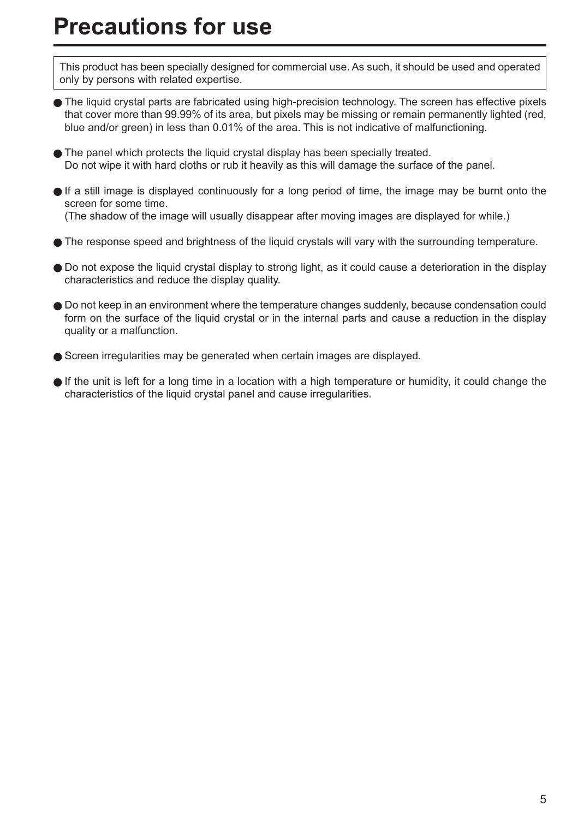# **Precautions for use**

This product has been specially designed for commercial use. As such, it should be used and operated only by persons with related expertise.

- The liquid crystal parts are fabricated using high-precision technology. The screen has effective pixels that cover more than 99.99% of its area, but pixels may be missing or remain permanently lighted (red, blue and/or green) in less than 0.01% of the area. This is not indicative of malfunctioning.
- The panel which protects the liquid crystal display has been specially treated. Do not wipe it with hard cloths or rub it heavily as this will damage the surface of the panel.
- If a still image is displayed continuously for a long period of time, the image may be burnt onto the screen for some time. (The shadow of the image will usually disappear after moving images are displayed for while.)
- The response speed and brightness of the liquid crystals will vary with the surrounding temperature.
- Do not expose the liquid crystal display to strong light, as it could cause a deterioration in the display characteristics and reduce the display quality.
- Do not keep in an environment where the temperature changes suddenly, because condensation could form on the surface of the liquid crystal or in the internal parts and cause a reduction in the display quality or a malfunction.
- Screen irregularities may be generated when certain images are displayed.
- If the unit is left for a long time in a location with a high temperature or humidity, it could change the characteristics of the liquid crystal panel and cause irregularities.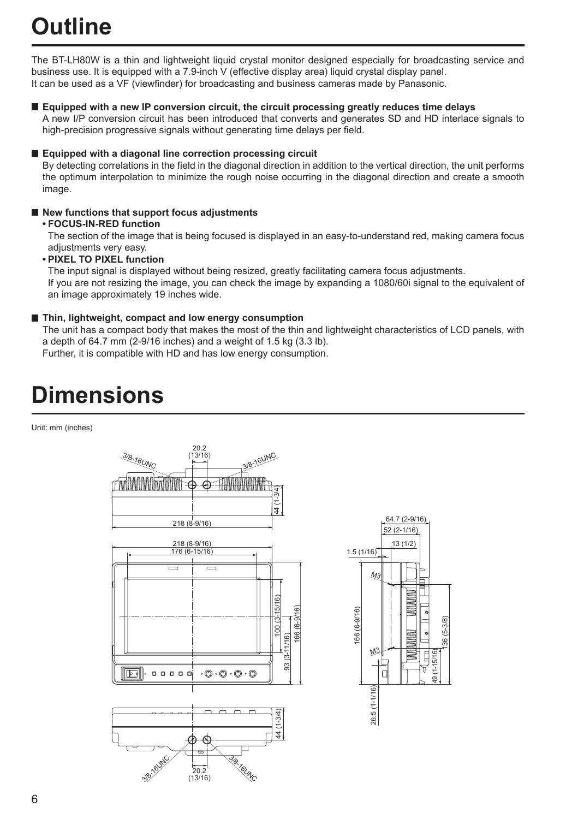# **Outline**

The BT-LH80W is a thin and lightweight liquid crystal monitor designed especially for broadcasting service and business use. It is equipped with a 7.9-inch V (effective display area) liquid crystal display panel. It can be used as a VF (viewfinder) for broadcasting and business cameras made by Panasonic.

 **Equipped with a new IP conversion circuit, the circuit processing greatly reduces time delays**

 A new I/P conversion circuit has been introduced that converts and generates SD and HD interlace signals to high-precision progressive signals without generating time delays per field.

#### ■ Equipped with a diagonal line correction processing circuit

 By detecting correlations in the field in the diagonal direction in addition to the vertical direction, the unit performs the optimum interpolation to minimize the rough noise occurring in the diagonal direction and create a smooth image.

### ■ New functions that support focus adjustments

#### **• FOCUS-IN-RED function**

 The section of the image that is being focused is displayed in an easy-to-understand red, making camera focus adjustments very easy.

#### **• PIXEL TO PIXEL function**

 The input signal is displayed without being resized, greatly facilitating camera focus adjustments. If you are not resizing the image, you can check the image by expanding a 1080/60i signal to the equivalent of an image approximately 19 inches wide.

#### **Thin, lightweight, compact and low energy consumption**

 The unit has a compact body that makes the most of the thin and lightweight characteristics of LCD panels, with a depth of 64.7 mm (2-9/16 inches) and a weight of 1.5 kg (3.3 lb).

Further, it is compatible with HD and has low energy consumption.

# **Dimensions**

Unit: mm (inches)



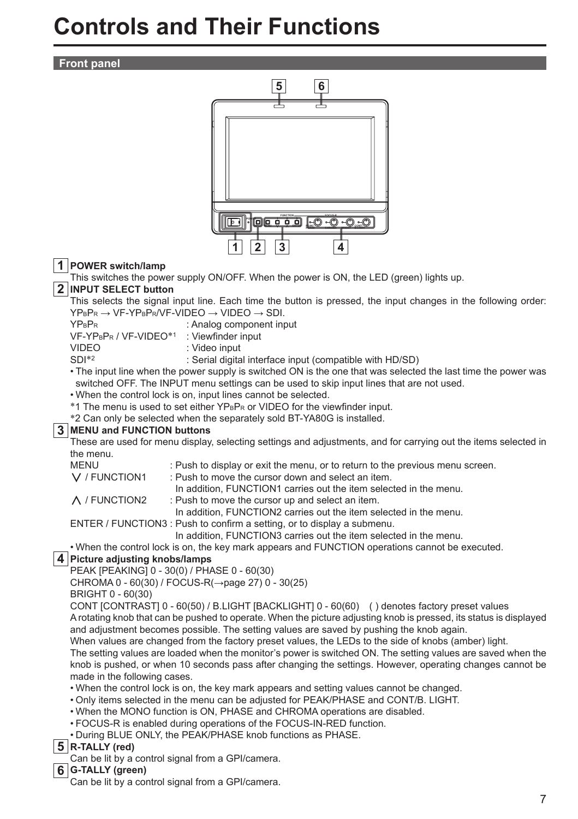# **Controls and Their Functions**

#### **Front panel**

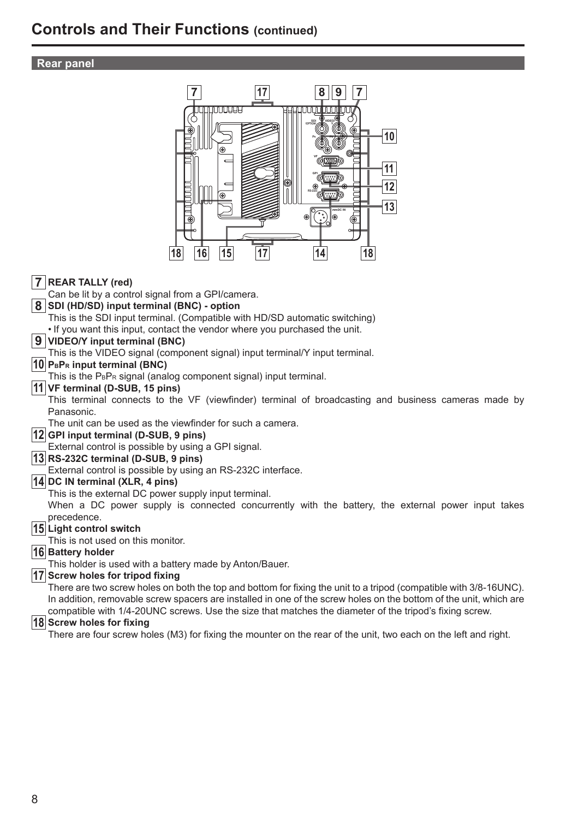# **Controls and Their Functions (continued)**

### **Rear panel**



There are four screw holes (M3) for fixing the mounter on the rear of the unit, two each on the left and right.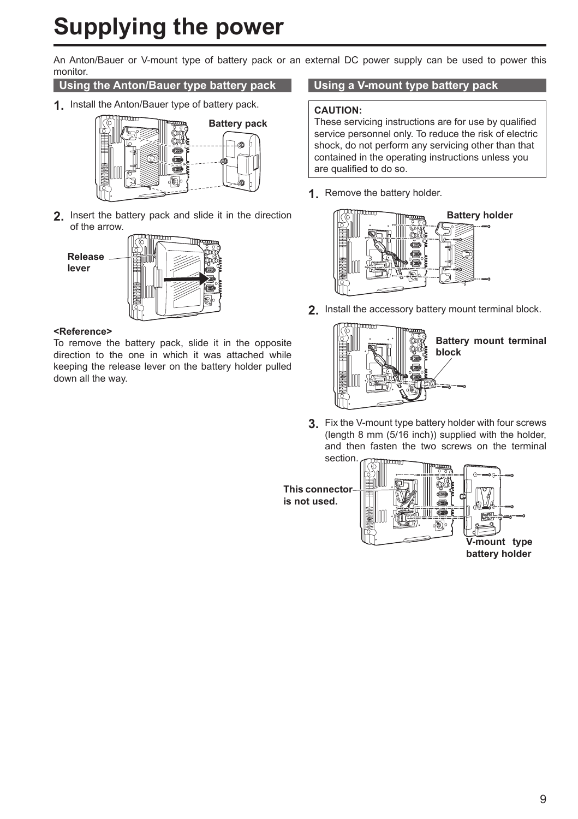# **Supplying the power**

An Anton/Bauer or V-mount type of battery pack or an external DC power supply can be used to power this monitor.

### **Using the Anton/Bauer type battery pack**

**1.** Install the Anton/Bauer type of battery pack.



**2.** Insert the battery pack and slide it in the direction of the arrow.



#### **<Reference>**

To remove the battery pack, slide it in the opposite direction to the one in which it was attached while keeping the release lever on the battery holder pulled down all the way.

### **Using a V-mount type battery pack**

#### **CAUTION:**

These servicing instructions are for use by qualified service personnel only. To reduce the risk of electric shock, do not perform any servicing other than that contained in the operating instructions unless you are qualified to do so.

**1.** Remove the battery holder.



**2.** Install the accessory battery mount terminal block.



**Battery mount terminal** 

**3.** Fix the V-mount type battery holder with four screws (length 8 mm (5/16 inch)) supplied with the holder, and then fasten the two screws on the terminal section. mmm



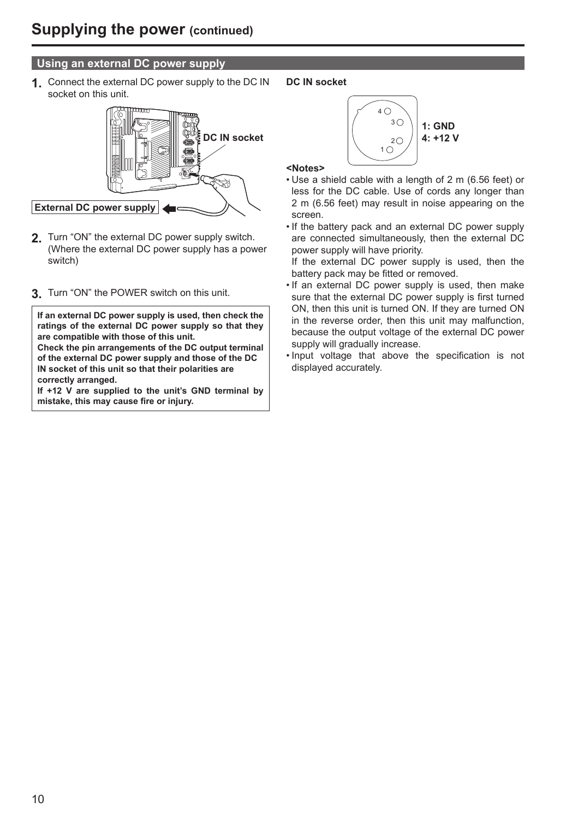# **Using an external DC power supply**

**1.** Connect the external DC power supply to the DC IN socket on this unit.



- **2.** Turn "ON" the external DC power supply switch. (Where the external DC power supply has a power switch)
- **3.** Turn "ON" the POWER switch on this unit.

**If an external DC power supply is used, then check the ratings of the external DC power supply so that they are compatible with those of this unit. Check the pin arrangements of the DC output terminal of the external DC power supply and those of the DC IN socket of this unit so that their polarities are correctly arranged.**

**If +12 V are supplied to the unit's GND terminal by mistake, this may cause fire or injury.**

**DC IN socket**



#### **<Notes>**

- Use a shield cable with a length of 2 m (6.56 feet) or less for the DC cable. Use of cords any longer than 2 m (6.56 feet) may result in noise appearing on the screen.
- If the battery pack and an external DC power supply are connected simultaneously, then the external DC power supply will have priority.

 If the external DC power supply is used, then the battery pack may be fitted or removed.

- If an external DC power supply is used, then make sure that the external DC power supply is first turned ON, then this unit is turned ON. If they are turned ON in the reverse order, then this unit may malfunction, because the output voltage of the external DC power supply will gradually increase.
- Input voltage that above the specification is not displayed accurately.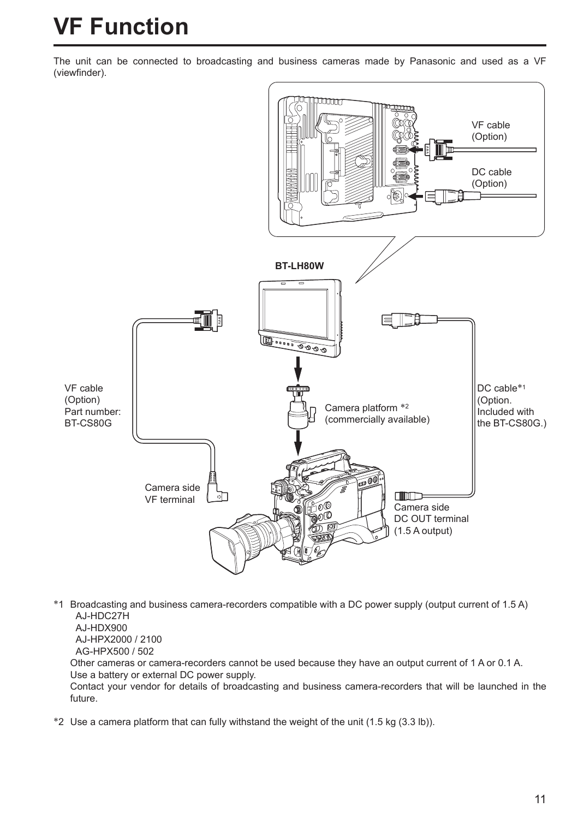# **VF Function**

The unit can be connected to broadcasting and business cameras made by Panasonic and used as a VF (viewfinder).



∗1 Broadcasting and business camera-recorders compatible with a DC power supply (output current of 1.5 A) AJ-HDC27H AJ-HDX900

AJ-HPX2000 / 2100

AG-HPX500 / 502

 Other cameras or camera-recorders cannot be used because they have an output current of 1 A or 0.1 A. Use a battery or external DC power supply.

 Contact your vendor for details of broadcasting and business camera-recorders that will be launched in the future.

∗2 Use a camera platform that can fully withstand the weight of the unit (1.5 kg (3.3 lb)).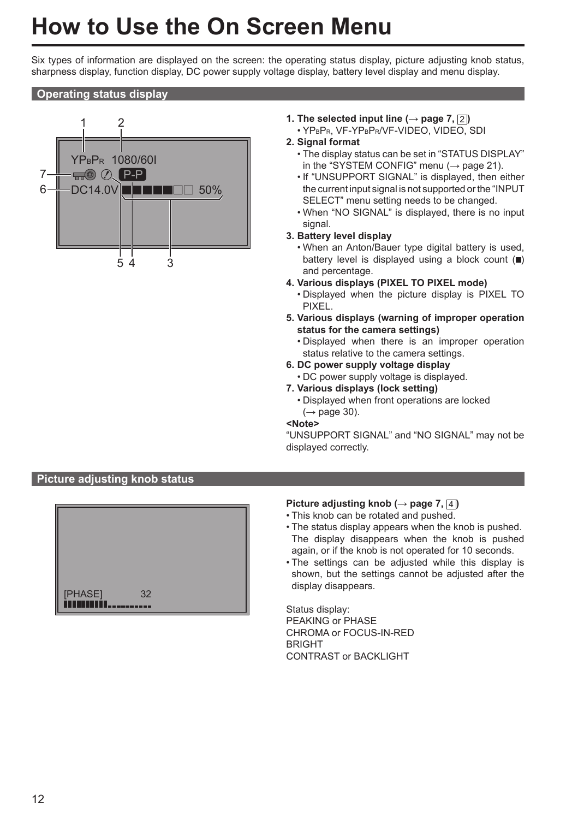# **How to Use the On Screen Menu**

Six types of information are displayed on the screen: the operating status display, picture adjusting knob status, sharpness display, function display, DC power supply voltage display, battery level display and menu display.

### **Operating status display**



- **1.** The selected input line  $(\rightarrow$  page 7,  $\boxed{2}$ )
	- YPBPR, VF-YPBPR/VF-VIDEO, VIDEO, SDI

#### **2. Signal format**

- The display status can be set in "STATUS DISPLAY" in the "SYSTEM CONFIG" menu ( $\rightarrow$  page 21).
- If "UNSUPPORT SIGNAL" is displayed, then either the current input signal is not supported or the "INPUT SELECT" menu setting needs to be changed.
- When "NO SIGNAL" is displayed, there is no input signal.

#### **3. Battery level display**

- When an Anton/Bauer type digital battery is used, battery level is displayed using a block count  $(\blacksquare)$ and percentage.
- **4. Various displays (PIXEL TO PIXEL mode)**
	- Displayed when the picture display is PIXEL TO **PIXEL.**
- **5. Various displays (warning of improper operation status for the camera settings)**
	- Displayed when there is an improper operation status relative to the camera settings.
- **6. DC power supply voltage display** • DC power supply voltage is displayed.
- **7. Various displays (lock setting)**
	- Displayed when front operations are locked  $(\rightarrow$  page 30).

**<Note>**

"UNSUPPORT SIGNAL" and "NO SIGNAL" may not be displayed correctly.

# **Picture adjusting knob status**



## **Picture adjusting knob (→ page 7,** 4 **)**

- This knob can be rotated and pushed.
- The status display appears when the knob is pushed. The display disappears when the knob is pushed again, or if the knob is not operated for 10 seconds.
- The settings can be adjusted while this display is shown, but the settings cannot be adjusted after the display disappears.

Status display: PEAKING or PHASE CHROMA or FOCUS-IN-RED **BRIGHT** CONTRAST or BACKLIGHT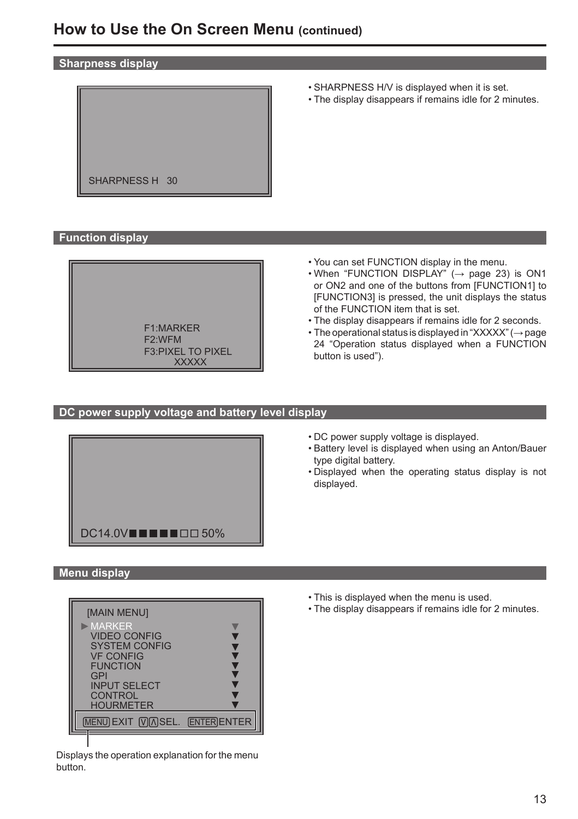#### **Sharpness display**



- SHARPNESS H/V is displayed when it is set.
- The display disappears if remains idle for 2 minutes.

**Function display**



- You can set FUNCTION display in the menu.
- $\cdot$  When "FUNCTION DISPLAY" ( $\rightarrow$  page 23) is ON1 or ON2 and one of the buttons from [FUNCTION1] to [FUNCTION3] is pressed, the unit displays the status of the FUNCTION item that is set.
- The display disappears if remains idle for 2 seconds.
- The operational status is displayed in "XXXXX" (→ page 24 "Operation status displayed when a FUNCTION button is used").

### **DC power supply voltage and battery level display**



- DC power supply voltage is displayed.
- Battery level is displayed when using an Anton/Bauer type digital battery.
- Displayed when the operating status display is not displayed.

#### **Menu display**



Displays the operation explanation for the menu button.

- This is displayed when the menu is used.
- The display disappears if remains idle for 2 minutes.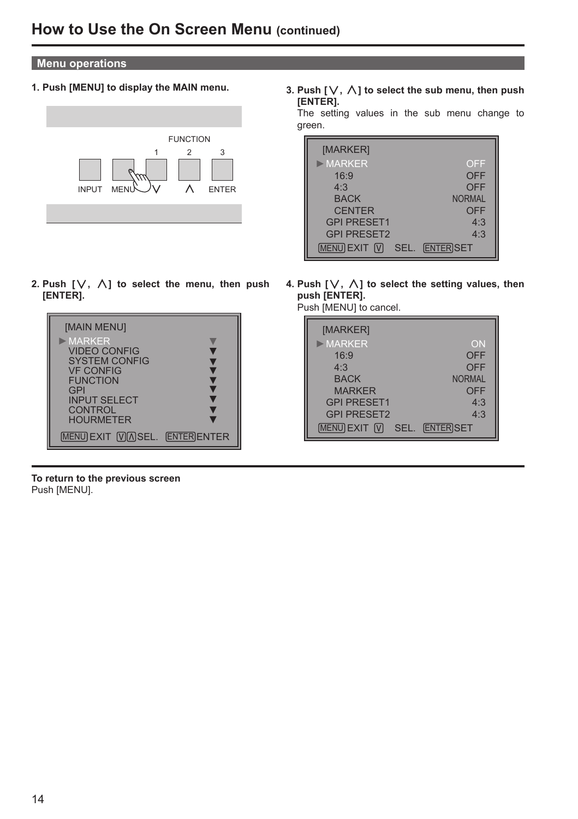### **Menu operations**

**1. Push [MENU] to display the MAIN menu.**



2. Push  $[\vee, \wedge]$  to select the menu, then push **[ENTER].**



**To return to the previous screen** Push [MENU].

3. Push  $[\vee, \wedge]$  to select the sub menu, then push **[ENTER].**

 The setting values in the sub menu change to green.

| [MARKER]           |                          |
|--------------------|--------------------------|
| $>$ MARKER         | OFF                      |
| 16:9               | OFF                      |
| 4:3                | OFF                      |
| <b>BACK</b>        | <b>NORMAL</b>            |
| <b>CENTER</b>      | OFF                      |
| <b>GPI PRESET1</b> | 4:3                      |
| <b>GPI PRESET2</b> | 4.3                      |
| MENU EXIT M        | <b>ENTERISET</b><br>SEL. |

4. Push  $[\vee, \wedge]$  to select the setting values, then **push [ENTER].**

Push [MENU] to cancel.

| [MARKER]                   |                  |
|----------------------------|------------------|
| $>$ MARKER                 | ON               |
| 16:9                       | OFF              |
| 4:3                        | OFF              |
| <b>BACK</b>                | <b>NORMAL</b>    |
| <b>MARKER</b>              | <b>OFF</b>       |
| <b>GPI PRESET1</b>         | 4:3              |
| <b>GPI PRESET2</b>         | 4.3              |
| <b>MENULEXIT M</b><br>SEL. | <b>ENTER SET</b> |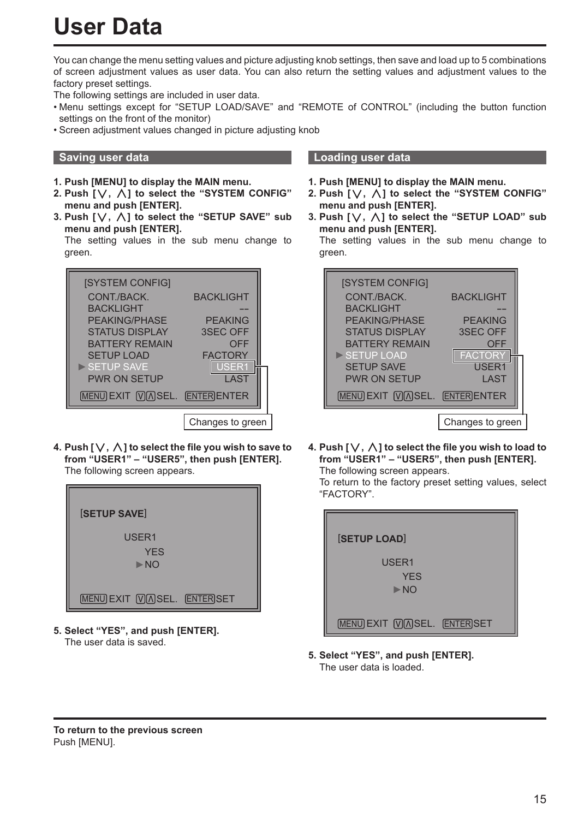# **User Data**

You can change the menu setting values and picture adjusting knob settings, then save and load up to 5 combinations of screen adjustment values as user data. You can also return the setting values and adjustment values to the factory preset settings.

The following settings are included in user data.

- Menu settings except for "SETUP LOAD/SAVE" and "REMOTE of CONTROL" (including the button function settings on the front of the monitor)
- Screen adjustment values changed in picture adjusting knob

- **1. Push [MENU] to display the MAIN menu.**
- **2. Push [ , ] to select the "SYSTEM CONFIG" menu and push [ENTER].**
- **3. Push [ , ] to select the "SETUP SAVE" sub menu and push [ENTER].**

The setting values in the sub menu change to green.



**4. Push [** $\vee$ **,**  $\wedge$ **] to select the file you wish to save to from "USER1" – "USER5", then push [ENTER].** The following screen appears.



**5. Select "YES", and push [ENTER].** The user data is saved.

### **Saving user data Loading user data**

- **1. Push [MENU] to display the MAIN menu.**
- **2. Push [ , ] to select the "SYSTEM CONFIG" menu and push [ENTER].**
- **3. Push [ , ] to select the "SETUP LOAD" sub menu and push [ENTER].**

The setting values in the sub menu change to green.



**4. Push [** $\vee$ **,**  $\wedge$ **] to select the file you wish to load to from "USER1" – "USER5", then push [ENTER].** The following screen appears.

 To return to the factory preset setting values, select "FACTORY".

| <b>SETUP LOAD</b>                          |  |
|--------------------------------------------|--|
| USER1<br><b>YES</b><br>$\triangleright$ NO |  |
| <b>MENU EXIT <b>VASEL.</b> ENTER SET</b>   |  |

**5. Select "YES", and push [ENTER].** The user data is loaded.

**To return to the previous screen** Push [MENU].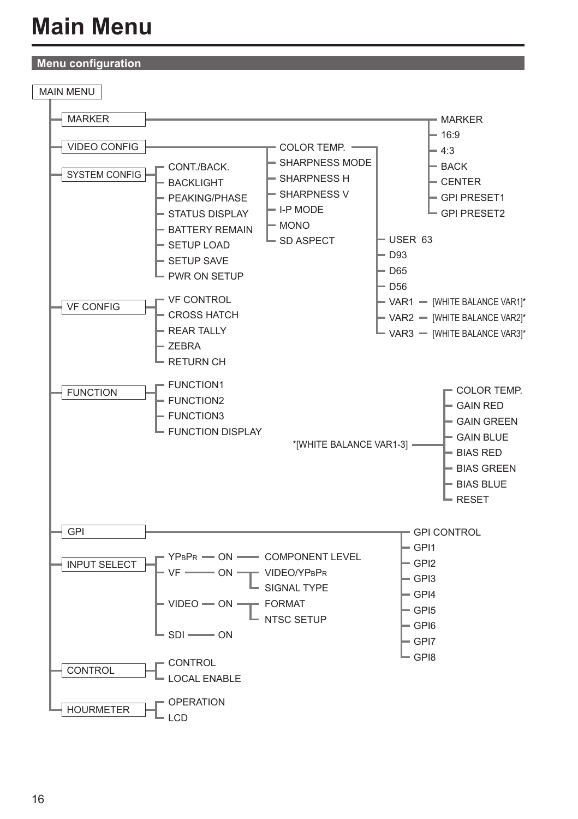# **Main Menu**

# **Menu configuration**

MAIN MENU

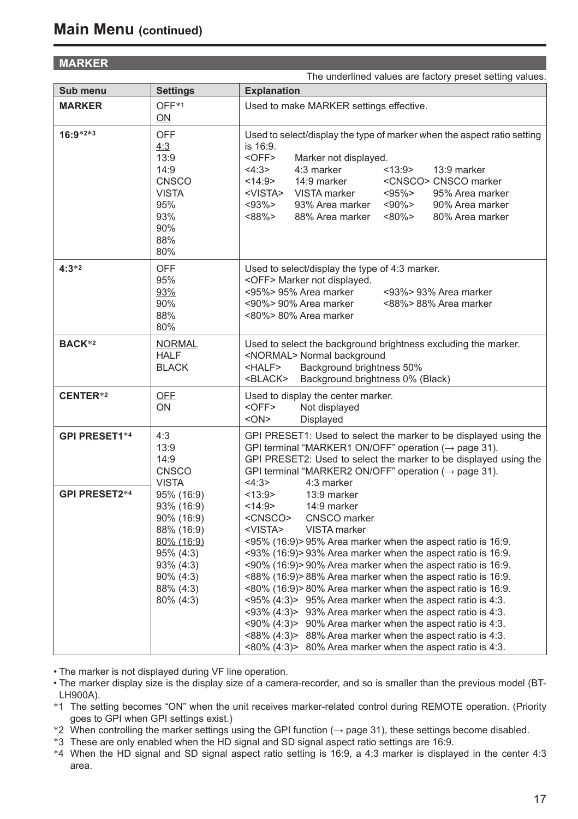## **MARKER**

|                      |                                                                                                                                        | The underlined values are factory preset setting values.                                                                                                                                                                                                                                                                                                                                                                                                                                                                                                                                                                                                                                                                                                                                                                                                                                                                                                   |
|----------------------|----------------------------------------------------------------------------------------------------------------------------------------|------------------------------------------------------------------------------------------------------------------------------------------------------------------------------------------------------------------------------------------------------------------------------------------------------------------------------------------------------------------------------------------------------------------------------------------------------------------------------------------------------------------------------------------------------------------------------------------------------------------------------------------------------------------------------------------------------------------------------------------------------------------------------------------------------------------------------------------------------------------------------------------------------------------------------------------------------------|
| Sub menu             | <b>Settings</b>                                                                                                                        | <b>Explanation</b>                                                                                                                                                                                                                                                                                                                                                                                                                                                                                                                                                                                                                                                                                                                                                                                                                                                                                                                                         |
| <b>MARKER</b>        | OFF*1<br>ON                                                                                                                            | Used to make MARKER settings effective.                                                                                                                                                                                                                                                                                                                                                                                                                                                                                                                                                                                                                                                                                                                                                                                                                                                                                                                    |
| 16:9*2*3             | <b>OFF</b><br>4:3<br>13:9<br>14:9<br><b>CNSCO</b><br><b>VISTA</b><br>95%<br>93%<br>90%<br>88%<br>80%                                   | Used to select/display the type of marker when the aspect ratio setting<br>is 16:9.<br><off><br/>Marker not displayed.<br/>4:3 marker<br/>&lt;13:9&gt;<br/>4:3&gt;<br/>13:9 marker<br/>14:9 marker<br/>&lt;14:9&gt;<br/><cnsco> CNSCO marker<br/><vista><br/>VISTA marker<br/><math>&lt; 95\% &gt;</math><br/>95% Area marker<br/>93% Area marker<br/><math>&lt; 90\% &gt;</math><br/><math>&lt;</math>93%&gt;<br/>90% Area marker<br/>&lt;88%&gt;<br/>88% Area marker<br/><math>~180\%</math><br/>80% Area marker</vista></cnsco></off>                                                                                                                                                                                                                                                                                                                                                                                                                   |
| $4:3*2$              | <b>OFF</b><br>95%<br>93%<br>90%<br>88%<br>80%                                                                                          | Used to select/display the type of 4:3 marker.<br><off> Marker not displayed.<br/>&lt;95%&gt; 95% Area marker<br/>&lt;93%&gt; 93% Area marker<br/>&lt;90%&gt; 90% Area marker<br/>&lt;88%&gt; 88% Area marker<br/>&lt;80%&gt; 80% Area marker</off>                                                                                                                                                                                                                                                                                                                                                                                                                                                                                                                                                                                                                                                                                                        |
| BACK*2               | <b>NORMAL</b><br><b>HALF</b><br><b>BLACK</b>                                                                                           | Used to select the background brightness excluding the marker.<br><normal> Normal background<br/><half><br/>Background brightness 50%<br/>Background brightness 0% (Black)<br/><black></black></half></normal>                                                                                                                                                                                                                                                                                                                                                                                                                                                                                                                                                                                                                                                                                                                                             |
| CENTER*2             | <b>OFF</b><br>ON                                                                                                                       | Used to display the center marker.<br>$\leq$ OFF $>$<br>Not displayed<br>$<$ ON $>$<br>Displayed                                                                                                                                                                                                                                                                                                                                                                                                                                                                                                                                                                                                                                                                                                                                                                                                                                                           |
| <b>GPI PRESET1*4</b> | 4:3<br>13:9<br>14:9<br><b>CNSCO</b><br><b>VISTA</b>                                                                                    | GPI PRESET1: Used to select the marker to be displayed using the<br>GPI terminal "MARKER1 ON/OFF" operation ( $\rightarrow$ page 31).<br>GPI PRESET2: Used to select the marker to be displayed using the<br>GPI terminal "MARKER2 ON/OFF" operation ( $\rightarrow$ page 31).<br>4:3><br>4:3 marker                                                                                                                                                                                                                                                                                                                                                                                                                                                                                                                                                                                                                                                       |
| <b>GPI PRESET2*4</b> | 95% (16:9)<br>93% (16:9)<br>90% (16:9)<br>88% (16:9)<br>80% (16:9)<br>95% (4:3)<br>93% (4:3)<br>$90\% (4:3)$<br>88% (4:3)<br>80% (4:3) | <13:9><br>13:9 marker<br><14:9><br>14:9 marker<br>CNSCO marker<br><cnsco><br/><vista><br/>VISTA marker<br/><math>\leq</math>95% (16:9) &gt; 95% Area marker when the aspect ratio is 16:9.<br/>&lt;93% (16:9)&gt; 93% Area marker when the aspect ratio is 16:9.<br/>&lt;90% (16:9)&gt; 90% Area marker when the aspect ratio is 16:9.<br/>&lt;88% (16:9)&gt;88% Area marker when the aspect ratio is 16:9.<br/>&lt;80% (16:9)&gt; 80% Area marker when the aspect ratio is 16:9.<br/><math>\langle 95\% (4:3) \rangle</math> 95% Area marker when the aspect ratio is 4:3.<br/><math>\langle 93\% (4:3) \rangle</math> 93% Area marker when the aspect ratio is 4:3.<br/><math>\langle 90\% (4:3) \rangle</math> 90% Area marker when the aspect ratio is 4:3.<br/><math>\langle 88\% (4:3) \rangle</math> 88% Area marker when the aspect ratio is 4:3.<br/>&lt;80% <math>(4:3)</math>&gt; 80% Area marker when the aspect ratio is 4:3.</vista></cnsco> |

• The marker is not displayed during VF line operation.

• The marker display size is the display size of a camera-recorder, and so is smaller than the previous model (BT-LH900A).

∗1 The setting becomes "ON" when the unit receives marker-related control during REMOTE operation. (Priority

goes to GPI when GPI settings exist.)<br>\*2 When controlling the marker settings using the GPI function ( $\rightarrow$  page 31), these settings become disabled.<br>\*3 These are only enabled when the HD signal and SD signal aspect ratio

∗4 When the HD signal and SD signal aspect ratio setting is 16:9, a 4:3 marker is displayed in the center 4:3 area.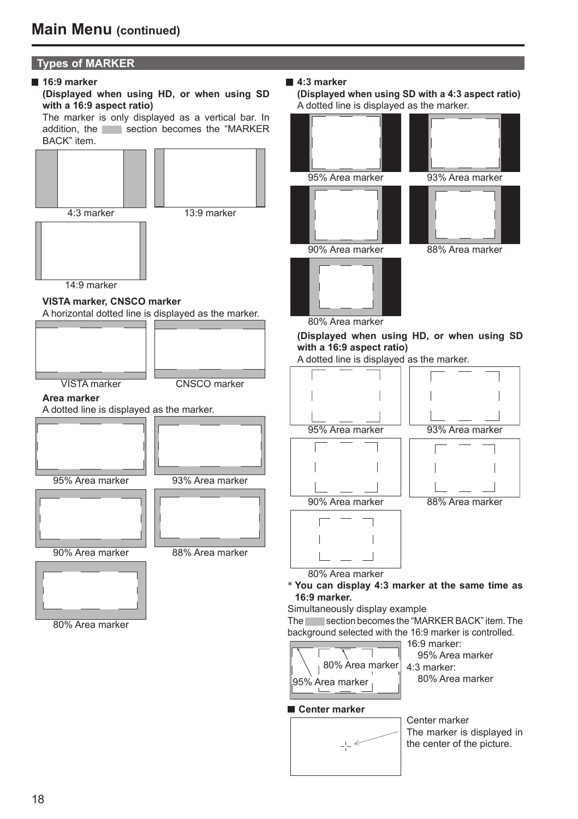# **Types of MARKER**

#### **16:9 marker**



 The marker is only displayed as a vertical bar. In addition, the section becomes the "MARKER" BACK" item.



#### **4:3 marker**

 **(Displayed when using SD with a 4:3 aspect ratio)** A dotted line is displayed as the marker.



80% Area marker

**(Displayed when using HD, or when using SD with a 16:9 aspect ratio)**

A dotted line is displayed as the marker.



80% Area marker <sup>∗</sup> **You can display 4:3 marker at the same time as 16:9 marker.**

Simultaneously display example

The section becomes the "MARKER BACK" item. The background selected with the 16:9 marker is controlled.



16:9 marker: 95% Area marker 80% Area marker

### **Center marker**



Center marker The marker is displayed in the center of the picture.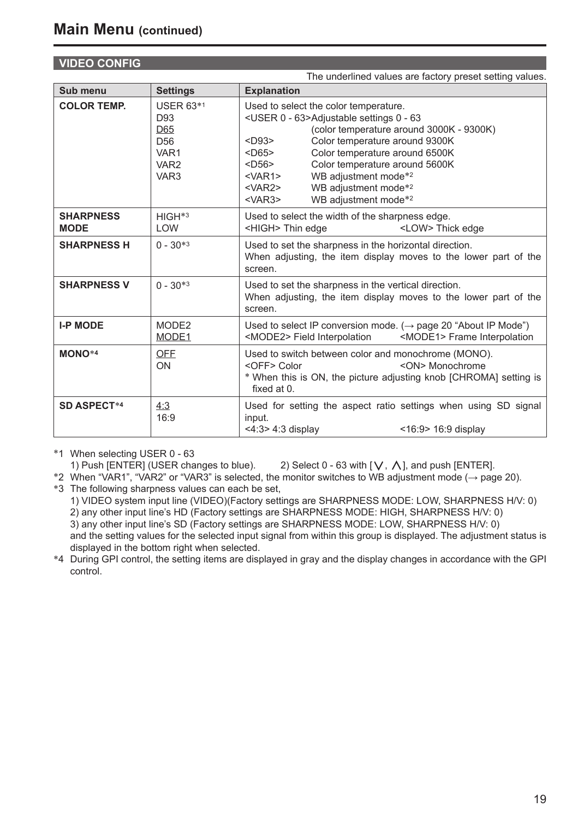# **VIDEO CONFIG**

|                                 |                                                                                                   | The underlined values are factory preset setting values.                                                                                                                                                                                                                                                                                                                                                                                                                                                            |
|---------------------------------|---------------------------------------------------------------------------------------------------|---------------------------------------------------------------------------------------------------------------------------------------------------------------------------------------------------------------------------------------------------------------------------------------------------------------------------------------------------------------------------------------------------------------------------------------------------------------------------------------------------------------------|
| Sub menu                        | <b>Settings</b>                                                                                   | <b>Explanation</b>                                                                                                                                                                                                                                                                                                                                                                                                                                                                                                  |
| <b>COLOR TEMP.</b>              | <b>USER 63*1</b><br>D93<br>D65<br>D <sub>56</sub><br>VAR1<br>VAR <sub>2</sub><br>VAR <sub>3</sub> | Used to select the color temperature.<br><user -="" 0="" 63="">Adjustable settings 0 - 63<br/>(color temperature around 3000K - 9300K)<br/>Color temperature around 9300K<br/><math>&lt;</math>D<math>93</math>&gt;<br/><math>&lt;</math>D65&gt;<br/>Color temperature around 6500K<br/><math>&lt;</math>D56&gt;<br/>Color temperature around 5600K<br/>WB adjustment mode*2<br/><math>&lt;</math>VAR1&gt;<br/>WB adjustment mode*2<br/><var2><br/>WB adjustment mode*2<br/><math>&lt;</math>VAR3&gt;</var2></user> |
| <b>SHARPNESS</b><br><b>MODE</b> | HIGH <sup>*3</sup><br><b>LOW</b>                                                                  | Used to select the width of the sharpness edge.<br><high> Thin edge<br/><low> Thick edge</low></high>                                                                                                                                                                                                                                                                                                                                                                                                               |
| <b>SHARPNESS H</b>              | $0 - 30*3$                                                                                        | Used to set the sharpness in the horizontal direction.<br>When adjusting, the item display moves to the lower part of the<br>screen.                                                                                                                                                                                                                                                                                                                                                                                |
| <b>SHARPNESS V</b>              | $0 - 30*3$                                                                                        | Used to set the sharpness in the vertical direction.<br>When adjusting, the item display moves to the lower part of the<br>screen.                                                                                                                                                                                                                                                                                                                                                                                  |
| <b>I-P MODE</b>                 | MODE2<br>MODE1                                                                                    | Used to select IP conversion mode. ( $\rightarrow$ page 20 "About IP Mode")<br><mode2> Field Interpolation<br/><mode1> Frame Interpolation</mode1></mode2>                                                                                                                                                                                                                                                                                                                                                          |
| MONO <sup>*4</sup>              | <b>OFF</b><br>ON                                                                                  | Used to switch between color and monochrome (MONO).<br><on> Monochrome<br/><off> Color<br/>* When this is ON, the picture adjusting knob [CHROMA] setting is<br/>fixed at 0.</off></on>                                                                                                                                                                                                                                                                                                                             |
| <b>SD ASPECT*4</b>              | 4:3<br>16:9                                                                                       | Used for setting the aspect ratio settings when using SD signal<br>input.<br>$<$ 4:3> 4:3 display<br>$<$ 16:9> 16:9 display                                                                                                                                                                                                                                                                                                                                                                                         |

∗1 When selecting USER 0 - 63

1) Push [ENTER] (USER changes to blue). 2) Select 0 - 63 with [ $\vee$ ,  $\wedge$ ], and push [ENTER].<br>\*2 When "VAR1", "VAR2" or "VAR3" is selected, the monitor switches to WB adjustment mode ( $\rightarrow$  page 20).<br>\*3 The following sha

 1) VIDEO system input line (VIDEO)(Factory settings are SHARPNESS MODE: LOW, SHARPNESS H/V: 0) 2) any other input line's HD (Factory settings are SHARPNESS MODE: HIGH, SHARPNESS H/V: 0) 3) any other input line's SD (Factory settings are SHARPNESS MODE: LOW, SHARPNESS H/V: 0) and the setting values for the selected input signal from within this group is displayed. The adjustment status is

displayed in the bottom right when selected. <sup>∗</sup>4 During GPI control, the setting items are displayed in gray and the display changes in accordance with the GPI control.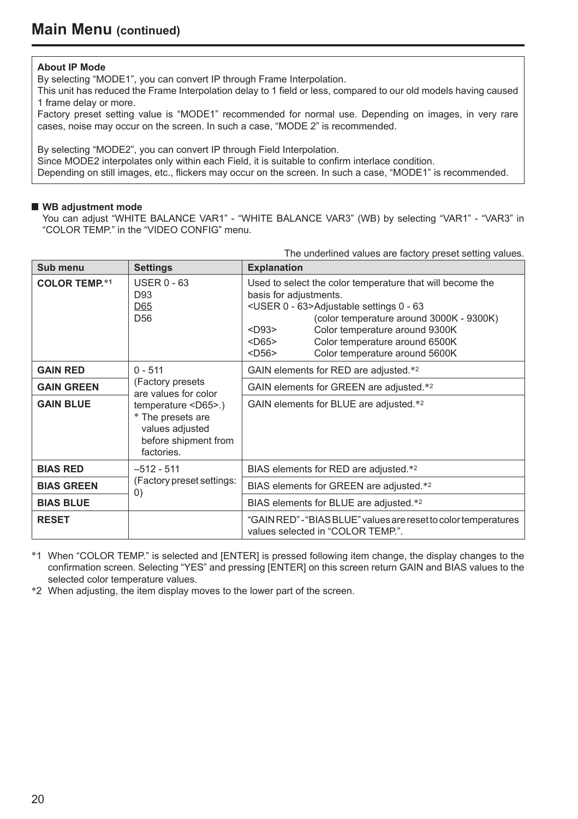#### **About IP Mode**

By selecting "MODE1", you can convert IP through Frame Interpolation.

This unit has reduced the Frame Interpolation delay to 1 field or less, compared to our old models having caused 1 frame delay or more.

Factory preset setting value is "MODE1" recommended for normal use. Depending on images, in very rare cases, noise may occur on the screen. In such a case, "MODE 2" is recommended.

By selecting "MODE2", you can convert IP through Field Interpolation.

Since MODE2 interpolates only within each Field, it is suitable to confirm interlace condition.

Depending on still images, etc., flickers may occur on the screen. In such a case, "MODE1" is recommended.

#### **WB adjustment mode**

You can adjust "WHITE BALANCE VAR1" - "WHITE BALANCE VAR3" (WB) by selecting "VAR1" - "VAR3" in "COLOR TEMP." in the "VIDEO CONFIG" menu.

The underlined values are factory preset setting values.

| Sub menu             | <b>Settings</b>                                                                                             | <b>Explanation</b>                                                                                                                                                                                                                                                                                                                                                                                                                 |
|----------------------|-------------------------------------------------------------------------------------------------------------|------------------------------------------------------------------------------------------------------------------------------------------------------------------------------------------------------------------------------------------------------------------------------------------------------------------------------------------------------------------------------------------------------------------------------------|
| <b>COLOR TEMP.*1</b> | <b>USER 0 - 63</b><br>D93<br>D65<br>D <sub>56</sub>                                                         | Used to select the color temperature that will become the<br>basis for adjustments.<br><user -="" 0="" 63="">Adjustable settings 0 - 63<br/>(color temperature around 3000K - 9300K)<br/>Color temperature around 9300K<br/><math>&lt;</math>D<math>93&gt;</math><br/><math>&lt;</math>D65<math>&gt;</math><br/>Color temperature around 6500K<br/>Color temperature around 5600K<br/><math>&lt;</math>D56<math>&gt;</math></user> |
| <b>GAIN RED</b>      | $0 - 511$<br>(Factory presets)<br>are values for color                                                      | GAIN elements for RED are adjusted.*2                                                                                                                                                                                                                                                                                                                                                                                              |
| <b>GAIN GREEN</b>    |                                                                                                             | GAIN elements for GREEN are adjusted.*2                                                                                                                                                                                                                                                                                                                                                                                            |
| <b>GAIN BLUE</b>     | temperature <d65>.)<br/>* The presets are<br/>values adjusted<br/>before shipment from<br/>factories.</d65> | GAIN elements for BLUE are adjusted.*2                                                                                                                                                                                                                                                                                                                                                                                             |
| <b>BIAS RED</b>      | $-512 - 511$                                                                                                | BIAS elements for RED are adjusted.*2                                                                                                                                                                                                                                                                                                                                                                                              |
| <b>BIAS GREEN</b>    | (Factory preset settings:<br>$\left( 0\right)$                                                              | BIAS elements for GREEN are adjusted.*2                                                                                                                                                                                                                                                                                                                                                                                            |
| <b>BIAS BLUE</b>     |                                                                                                             | BIAS elements for BLUE are adjusted.*2                                                                                                                                                                                                                                                                                                                                                                                             |
| <b>RESET</b>         |                                                                                                             | "GAIN RED" - "BIAS BLUE" values are reset to color temperatures<br>values selected in "COLOR TEMP.".                                                                                                                                                                                                                                                                                                                               |

∗1 When "COLOR TEMP." is selected and [ENTER] is pressed following item change, the display changes to the confirmation screen. Selecting "YES" and pressing [ENTER] on this screen return GAIN and BIAS values to the selected color temperature values.<br>\*2 When adjusting, the item display moves to the lower part of the screen.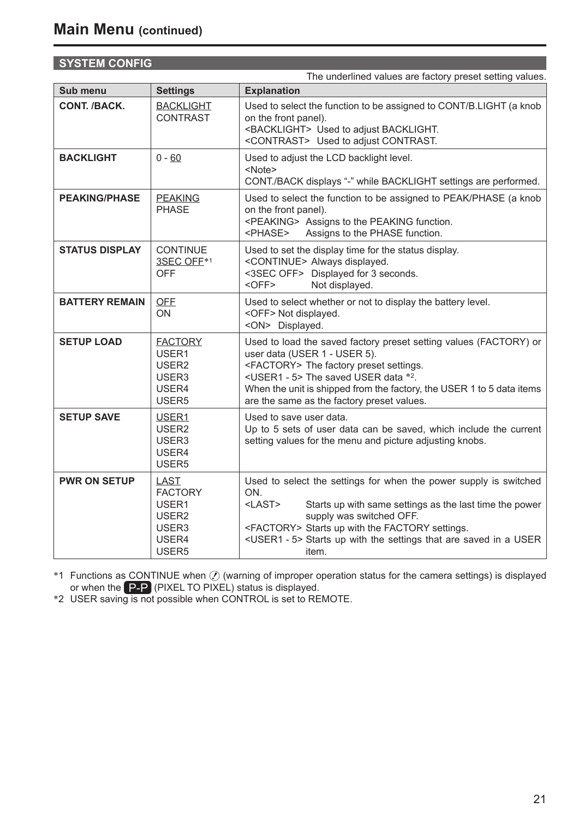# **SYSTEM CONFIG**

|                       |                                                                                             | The underlined values are factory preset setting values.                                                                                                                                                                                                                                                                                 |
|-----------------------|---------------------------------------------------------------------------------------------|------------------------------------------------------------------------------------------------------------------------------------------------------------------------------------------------------------------------------------------------------------------------------------------------------------------------------------------|
| Sub menu              | <b>Settings</b>                                                                             | <b>Explanation</b>                                                                                                                                                                                                                                                                                                                       |
| CONT. /BACK.          | <b>BACKLIGHT</b><br><b>CONTRAST</b>                                                         | Used to select the function to be assigned to CONT/B.LIGHT (a knob<br>on the front panel).<br><backlight> Used to adjust BACKLIGHT.<br/><contrast> Used to adiust CONTRAST.</contrast></backlight>                                                                                                                                       |
| <b>BACKLIGHT</b>      | $0 - 60$                                                                                    | Used to adjust the LCD backlight level.<br><note><br/>CONT./BACK displays "-" while BACKLIGHT settings are performed.</note>                                                                                                                                                                                                             |
| <b>PEAKING/PHASE</b>  | <b>PEAKING</b><br><b>PHASE</b>                                                              | Used to select the function to be assigned to PEAK/PHASE (a knob<br>on the front panel).<br><peaking> Assigns to the PEAKING function.<br/><phase><br/>Assigns to the PHASE function.</phase></peaking>                                                                                                                                  |
| <b>STATUS DISPLAY</b> | <b>CONTINUE</b><br>3SEC OFE*1<br><b>OFF</b>                                                 | Used to set the display time for the status display.<br><continue> Always displayed.<br/>&lt;3SEC OFF&gt; Displayed for 3 seconds.<br/><math>&lt;</math>OFF<math>&gt;</math><br/>Not displayed.</continue>                                                                                                                               |
| <b>BATTERY REMAIN</b> | <b>OFF</b><br>ON                                                                            | Used to select whether or not to display the battery level.<br><off> Not displayed.<br/><on> Displayed.</on></off>                                                                                                                                                                                                                       |
| <b>SETUP LOAD</b>     | <b>FACTORY</b><br>USER1<br>USER <sub>2</sub><br>USER3<br>USER4<br>USER <sub>5</sub>         | Used to load the saved factory preset setting values (FACTORY) or<br>user data (USER 1 - USER 5).<br><factory> The factory preset settings.<br/><user1 -="" 5=""> The saved USER data *2.<br/>When the unit is shipped from the factory, the USER 1 to 5 data items<br/>are the same as the factory preset values.</user1></factory>     |
| <b>SETUP SAVE</b>     | USER1<br>USER <sub>2</sub><br>USER3<br>USER4<br>USER <sub>5</sub>                           | Used to save user data.<br>Up to 5 sets of user data can be saved, which include the current<br>setting values for the menu and picture adjusting knobs.                                                                                                                                                                                 |
| <b>PWR ON SETUP</b>   | LAST<br><b>FACTORY</b><br>USER1<br>USER <sub>2</sub><br>USER3<br>USER4<br>USER <sub>5</sub> | Used to select the settings for when the power supply is switched<br>ON.<br>$<$ LAST $>$<br>Starts up with same settings as the last time the power<br>supply was switched OFF.<br><factory> Starts up with the FACTORY settings.<br/><user1 -="" 5=""> Starts up with the settings that are saved in a USER<br/>item.</user1></factory> |

<sup>∗1</sup> Functions as CONTINUE when  $Q$  (warning of improper operation status for the camera settings) is displayed or when the P-P (PIXEL TO PIXEL) status is displayed.<br>
<sup>∗</sup>2 USER saving is not possible when CONTROL is set to REMOTE.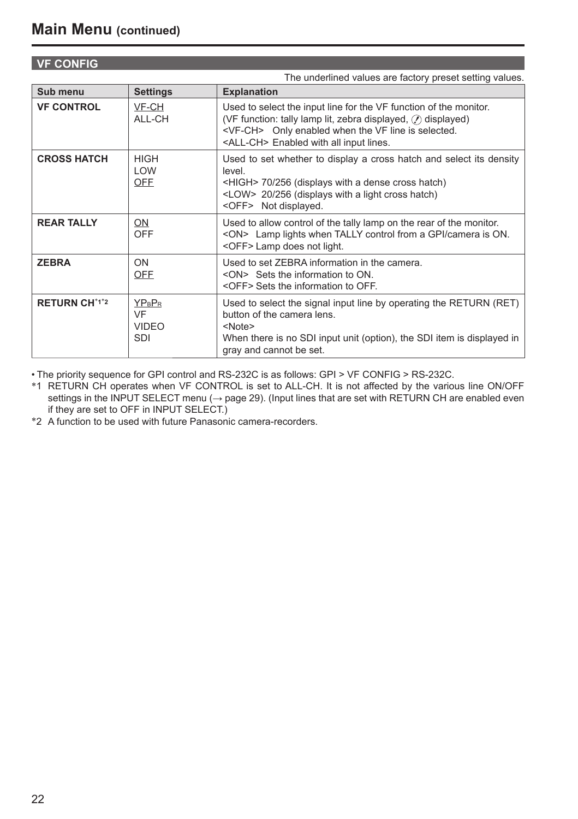## **VF CONFIG**

|                      |                                                  | The underlined values are factory preset setting values.                                                                                                                                                                                                         |
|----------------------|--------------------------------------------------|------------------------------------------------------------------------------------------------------------------------------------------------------------------------------------------------------------------------------------------------------------------|
| Sub menu             | <b>Settings</b>                                  | <b>Explanation</b>                                                                                                                                                                                                                                               |
| <b>VF CONTROL</b>    | VF-CH<br>ALL-CH                                  | Used to select the input line for the VF function of the monitor.<br>(VF function: tally lamp lit, zebra displayed, $\mathcal{O}$ ) displayed)<br><vf-ch> Only enabled when the VF line is selected.<br/><all-ch> Enabled with all input lines.</all-ch></vf-ch> |
| <b>CROSS HATCH</b>   | <b>HIGH</b><br>LOW<br><b>OFF</b>                 | Used to set whether to display a cross hatch and select its density<br>level<br><high> 70/256 (displays with a dense cross hatch)<br/><low> 20/256 (displays with a light cross hatch)<br/><off> Not displayed.</off></low></high>                               |
| <b>REAR TALLY</b>    | ON<br><b>OFF</b>                                 | Used to allow control of the tally lamp on the rear of the monitor.<br><on> Lamp lights when TALLY control from a GPI/camera is ON.<br/><off> Lamp does not light.</off></on>                                                                                    |
| <b>ZEBRA</b>         | ON<br><b>OFF</b>                                 | Used to set ZEBRA information in the camera.<br><on> Sets the information to ON.<br/><off> Sets the information to OFF.</off></on>                                                                                                                               |
| <b>RETURN CH*1*2</b> | <b>YPBPR</b><br>VF<br><b>VIDEO</b><br><b>SDI</b> | Used to select the signal input line by operating the RETURN (RET)<br>button of the camera lens<br>$<$ Note $>$<br>When there is no SDI input unit (option), the SDI item is displayed in<br>gray and cannot be set.                                             |

• The priority sequence for GPI control and RS-232C is as follows: GPI > VF CONFIG > RS-232C.

∗1 RETURN CH operates when VF CONTROL is set to ALL-CH. It is not affected by the various line ON/OFF settings in the INPUT SELECT menu (→ page 29). (Input lines that are set with RETURN CH are enabled even if they are set to OFF in INPUT SELECT.)

∗2 A function to be used with future Panasonic camera-recorders.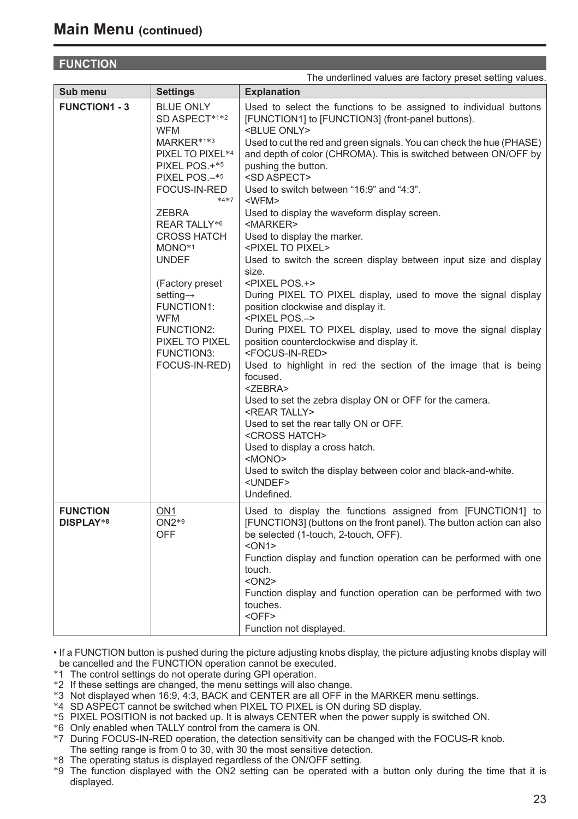# **FUNCTION**

|                              |                                                                                                                                                                                                                                                                                                                                                                                                 | The underlined values are factory preset setting values.                                                                                                                                                                                                                                                                                                                                                                                                                                                                                                                                                                                                                                                                                                                                                                                                                                                                                                                                                                                                                                                                                                                                                                                                                                                                                                                                                       |
|------------------------------|-------------------------------------------------------------------------------------------------------------------------------------------------------------------------------------------------------------------------------------------------------------------------------------------------------------------------------------------------------------------------------------------------|----------------------------------------------------------------------------------------------------------------------------------------------------------------------------------------------------------------------------------------------------------------------------------------------------------------------------------------------------------------------------------------------------------------------------------------------------------------------------------------------------------------------------------------------------------------------------------------------------------------------------------------------------------------------------------------------------------------------------------------------------------------------------------------------------------------------------------------------------------------------------------------------------------------------------------------------------------------------------------------------------------------------------------------------------------------------------------------------------------------------------------------------------------------------------------------------------------------------------------------------------------------------------------------------------------------------------------------------------------------------------------------------------------------|
| Sub menu                     | Settings                                                                                                                                                                                                                                                                                                                                                                                        | <b>Explanation</b>                                                                                                                                                                                                                                                                                                                                                                                                                                                                                                                                                                                                                                                                                                                                                                                                                                                                                                                                                                                                                                                                                                                                                                                                                                                                                                                                                                                             |
| <b>FUNCTION1 - 3</b>         | <b>BLUE ONLY</b><br>SD ASPECT*1*2<br><b>WFM</b><br>MARKER*1*3<br>PIXEL TO PIXEL*4<br>PIXEL POS.+*5<br>PIXEL POS.-*5<br>FOCUS-IN-RED<br>$*4*7$<br><b>ZEBRA</b><br>REAR TALLY*6<br><b>CROSS HATCH</b><br>MONO <sup>*1</sup><br><b>UNDEF</b><br>(Factory preset)<br>setting $\rightarrow$<br>FUNCTION1:<br><b>WFM</b><br><b>FUNCTION2:</b><br>PIXEL TO PIXEL<br><b>FUNCTION3:</b><br>FOCUS-IN-RED) | Used to select the functions to be assigned to individual buttons<br>[FUNCTION1] to [FUNCTION3] (front-panel buttons).<br><blue only=""><br/>Used to cut the red and green signals. You can check the hue (PHASE)<br/>and depth of color (CHROMA). This is switched between ON/OFF by<br/>pushing the button.<br/><sd aspect=""><br/>Used to switch between "16:9" and "4:3".<br/><wfm><br/>Used to display the waveform display screen.<br/><marker><br/>Used to display the marker.<br/><pixel pixel="" to=""><br/>Used to switch the screen display between input size and display<br/>size.<br/><pixel pos.+=""><br/>During PIXEL TO PIXEL display, used to move the signal display<br/>position clockwise and display it.<br/><pixel pos.-=""><br/>During PIXEL TO PIXEL display, used to move the signal display<br/>position counterclockwise and display it.<br/><focus-in-red><br/>Used to highlight in red the section of the image that is being<br/>focused.<br/><math>&lt;</math>ZEBRA<math>&gt;</math><br/>Used to set the zebra display ON or OFF for the camera.<br/><rear tally=""><br/>Used to set the rear tally ON or OFF.<br/><cross hatch=""><br/>Used to display a cross hatch.<br/><mono><br/>Used to switch the display between color and black-and-white.<br/><undef><br/>Undefined.</undef></mono></cross></rear></focus-in-red></pixel></pixel></pixel></marker></wfm></sd></blue> |
| <b>FUNCTION</b><br>DISPLAY*8 | ON <sub>1</sub><br>$ON2*9$<br><b>OFF</b>                                                                                                                                                                                                                                                                                                                                                        | Used to display the functions assigned from [FUNCTION1] to<br>[FUNCTION3] (buttons on the front panel). The button action can also<br>be selected (1-touch, 2-touch, OFF).<br>$<$ ON1><br>Function display and function operation can be performed with one<br>touch.<br>$<$ ON2><br>Function display and function operation can be performed with two<br>touches.<br>$<$ OFF $>$<br>Function not displayed.                                                                                                                                                                                                                                                                                                                                                                                                                                                                                                                                                                                                                                                                                                                                                                                                                                                                                                                                                                                                   |

• If a FUNCTION button is pushed during the picture adjusting knobs display, the picture adjusting knobs display will be cancelled and the FUNCTION operation cannot be executed.

- ∗1 The control settings do not operate during GPI operation.
- ∗2 If these settings are changed, the menu settings will also change.
- ∗3 Not displayed when 16:9, 4:3, BACK and CENTER are all OFF in the MARKER menu settings.
- ∗4 SD ASPECT cannot be switched when PIXEL TO PIXEL is ON during SD display.
- ∗5 PIXEL POSITION is not backed up. It is always CENTER when the power supply is switched ON.
- ∗6 Only enabled when TALLY control from the camera is ON.
- ∗7 During FOCUS-IN-RED operation, the detection sensitivity can be changed with the FOCUS-R knob. The setting range is from 0 to 30, with 30 the most sensitive detection.
- ∗8 The operating status is displayed regardless of the ON/OFF setting.
- ∗9 The function displayed with the ON2 setting can be operated with a button only during the time that it is displayed.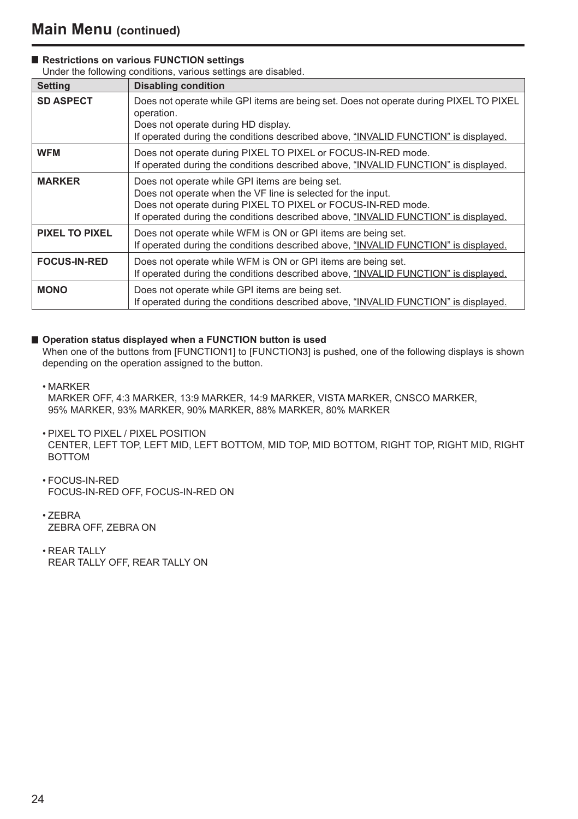### ■ Restrictions on various **FUNCTION** settings

Under the following conditions, various settings are disabled.

| <b>Setting</b>        | <b>Disabling condition</b>                                                                                                                                                                                                                                             |
|-----------------------|------------------------------------------------------------------------------------------------------------------------------------------------------------------------------------------------------------------------------------------------------------------------|
| <b>SD ASPECT</b>      | Does not operate while GPI items are being set. Does not operate during PIXEL TO PIXEL<br>operation.<br>Does not operate during HD display.<br>If operated during the conditions described above, "INVALID FUNCTION" is displayed.                                     |
| <b>WFM</b>            | Does not operate during PIXEL TO PIXEL or FOCUS-IN-RED mode.<br>If operated during the conditions described above, "INVALID FUNCTION" is displayed.                                                                                                                    |
| <b>MARKER</b>         | Does not operate while GPI items are being set.<br>Does not operate when the VF line is selected for the input.<br>Does not operate during PIXEL TO PIXEL or FOCUS-IN-RED mode.<br>If operated during the conditions described above, "INVALID FUNCTION" is displayed. |
| <b>PIXEL TO PIXEL</b> | Does not operate while WFM is ON or GPI items are being set.<br>If operated during the conditions described above, "INVALID FUNCTION" is displayed.                                                                                                                    |
| <b>FOCUS-IN-RED</b>   | Does not operate while WFM is ON or GPI items are being set.<br>If operated during the conditions described above, "INVALID FUNCTION" is displayed.                                                                                                                    |
| <b>MONO</b>           | Does not operate while GPI items are being set.<br>If operated during the conditions described above, "INVALID FUNCTION" is displayed.                                                                                                                                 |

#### ■ Operation status displayed when a FUNCTION button is used

 When one of the buttons from [FUNCTION1] to [FUNCTION3] is pushed, one of the following displays is shown depending on the operation assigned to the button.

• MARKER

 MARKER OFF, 4:3 MARKER, 13:9 MARKER, 14:9 MARKER, VISTA MARKER, CNSCO MARKER, 95% MARKER, 93% MARKER, 90% MARKER, 88% MARKER, 80% MARKER

- PIXEL TO PIXEL / PIXEL POSITION CENTER, LEFT TOP, LEFT MID, LEFT BOTTOM, MID TOP, MID BOTTOM, RIGHT TOP, RIGHT MID, RIGHT **BOTTOM**
- FOCUS-IN-RED FOCUS-IN-RED OFF, FOCUS-IN-RED ON
- ZEBRA ZEBRA OFF, ZEBRA ON
- REAR TALLY REAR TALLY OFF, REAR TALLY ON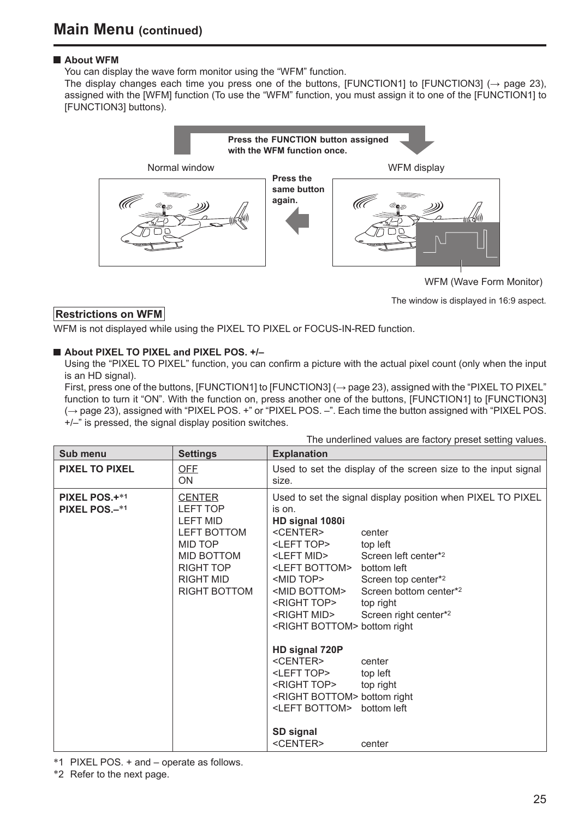### **About WFM**

You can display the wave form monitor using the "WFM" function.

The display changes each time you press one of the buttons, [FUNCTION1] to [FUNCTION3]  $(\rightarrow$  page 23), assigned with the [WFM] function (To use the "WFM" function, you must assign it to one of the [FUNCTION1] to [FUNCTION3] buttons).



WFM (Wave Form Monitor)

The window is displayed in 16:9 aspect.

### **Restrictions on WFM**

WFM is not displayed while using the PIXEL TO PIXEL or FOCUS-IN-RED function.

#### **About PIXEL TO PIXEL and PIXEL POS. +/-**

 Using the "PIXEL TO PIXEL" function, you can confirm a picture with the actual pixel count (only when the input is an HD signal).

First, press one of the buttons, [FUNCTION1] to [FUNCTION3] (→ page 23), assigned with the "PIXEL TO PIXEL" function to turn it "ON". With the function on, press another one of the buttons, [FUNCTION1] to [FUNCTION3] (→ page 23), assigned with "PIXEL POS. +" or "PIXEL POS. –". Each time the button assigned with "PIXEL POS. +/–" is pressed, the signal display position switches.

| Sub menu                       | <b>Settings</b>                                                                                                                                                   | <b>Explanation</b>                                                                                                                                                                                                                                                                                                                                                                                                                                                                                             |                                                                                                                                                                                                                                               |
|--------------------------------|-------------------------------------------------------------------------------------------------------------------------------------------------------------------|----------------------------------------------------------------------------------------------------------------------------------------------------------------------------------------------------------------------------------------------------------------------------------------------------------------------------------------------------------------------------------------------------------------------------------------------------------------------------------------------------------------|-----------------------------------------------------------------------------------------------------------------------------------------------------------------------------------------------------------------------------------------------|
| <b>PIXEL TO PIXEL</b>          | OFF<br>ON                                                                                                                                                         | size.                                                                                                                                                                                                                                                                                                                                                                                                                                                                                                          | Used to set the display of the screen size to the input signal                                                                                                                                                                                |
| PIXEL POS.+*1<br>PIXEL POS.-*1 | <b>CENTER</b><br><b>LEFT TOP</b><br><b>LEFT MID</b><br><b>LEFT BOTTOM</b><br>MID TOP<br>MID BOTTOM<br><b>RIGHT TOP</b><br><b>RIGHT MID</b><br><b>RIGHT BOTTOM</b> | is on.<br>HD signal 1080i<br><center><br/><left top=""><br/><left mid=""><br/><left bottom=""> bottom left<br/><mid top=""><br/><mid bottom=""><br/><right top=""><br/><right mid=""><br/><right bottom=""> bottom right<br/>HD signal 720P<br/><center><br/><left top=""><br/><right top=""><br/><right bottom=""> bottom right<br/><left bottom=""> bottom left<br/>SD signal<br/><center></center></left></right></right></left></center></right></right></right></mid></mid></left></left></left></center> | Used to set the signal display position when PIXEL TO PIXEL<br>center<br>top left<br>Screen left center*2<br>Screen top center*2<br>Screen bottom center*2<br>top right<br>Screen right center*2<br>center<br>top left<br>top right<br>center |

The underlined values are factory preset setting values.

∗1 PIXEL POS. + and – operate as follows.

∗2 Refer to the next page.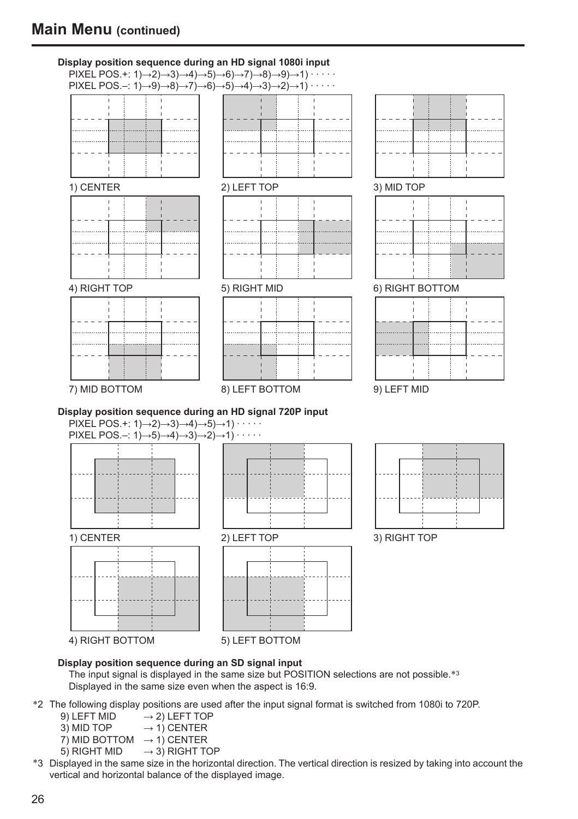

#### **Display position sequence during an SD signal input**

The input signal is displayed in the same size but POSITION selections are not possible.<sup>∗3</sup> Displayed in the same size even when the aspect is 16:9.

- ∗2 The following display positions are used after the input signal format is switched from 1080i to 720P.
	- $\rightarrow$  2) LEFT TOP
	- 3) MID TOP  $\rightarrow$  1) CENTER
	- 7) MID BOTTOM  $\rightarrow$  1) CENTER
	- 5) RIGHT MID  $\rightarrow$  3) RIGHT TOP
- ∗3 Displayed in the same size in the horizontal direction. The vertical direction is resized by taking into account the vertical and horizontal balance of the displayed image.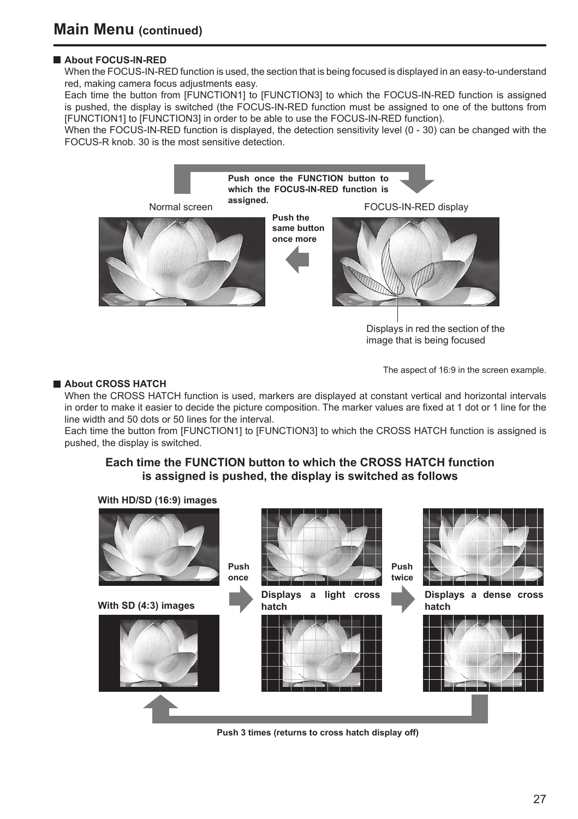## **About FOCUS-IN-RED**

 When the FOCUS-IN-RED function is used, the section that is being focused is displayed in an easy-to-understand red, making camera focus adjustments easy.

 Each time the button from [FUNCTION1] to [FUNCTION3] to which the FOCUS-IN-RED function is assigned is pushed, the display is switched (the FOCUS-IN-RED function must be assigned to one of the buttons from [FUNCTION1] to [FUNCTION3] in order to be able to use the FOCUS-IN-RED function).

When the FOCUS-IN-RED function is displayed, the detection sensitivity level (0 - 30) can be changed with the FOCUS-R knob. 30 is the most sensitive detection.



Displays in red the section of the image that is being focused

#### **About CROSS HATCH**

The aspect of 16:9 in the screen example.

When the CROSS HATCH function is used, markers are displayed at constant vertical and horizontal intervals in order to make it easier to decide the picture composition. The marker values are fixed at 1 dot or 1 line for the line width and 50 dots or 50 lines for the interval.

 Each time the button from [FUNCTION1] to [FUNCTION3] to which the CROSS HATCH function is assigned is pushed, the display is switched.

## **Each time the FUNCTION button to which the CROSS HATCH function is assigned is pushed, the display is switched as follows**



**Push 3 times (returns to cross hatch display off)**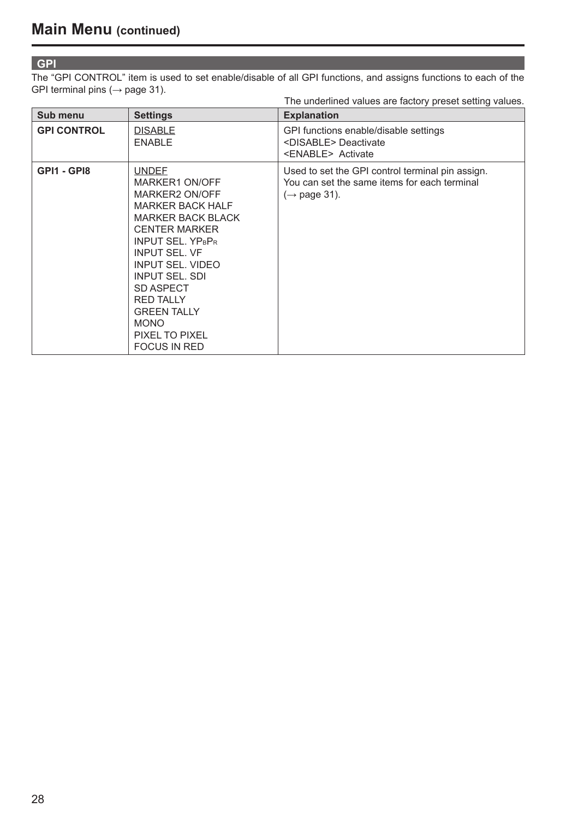#### **GPI**

The "GPI CONTROL" item is used to set enable/disable of all GPI functions, and assigns functions to each of the GPI terminal pins  $(\rightarrow$  page 31).

|                    |                                                                                                                                                                                                                                                                                                                                                       | The underlined values are factory preset setting values.                                                                     |
|--------------------|-------------------------------------------------------------------------------------------------------------------------------------------------------------------------------------------------------------------------------------------------------------------------------------------------------------------------------------------------------|------------------------------------------------------------------------------------------------------------------------------|
| Sub menu           | <b>Settings</b>                                                                                                                                                                                                                                                                                                                                       | <b>Explanation</b>                                                                                                           |
| <b>GPI CONTROL</b> | <b>DISABLE</b><br><b>ENABLE</b>                                                                                                                                                                                                                                                                                                                       | GPI functions enable/disable settings<br><disable> Deactivate<br/><enable> Activate</enable></disable>                       |
| GPI1 - GPI8        | <b>UNDEF</b><br>MARKER1 ON/OFF<br>MARKER2 ON/OFF<br><b>MARKER BACK HALF</b><br><b>MARKER BACK BLACK</b><br><b>CENTER MARKER</b><br><b>INPUT SEL, YPRPR</b><br><b>INPUT SEL. VF</b><br><b>INPUT SEL, VIDEO</b><br><b>INPUT SEL, SDI</b><br>SD ASPECT<br><b>RED TALLY</b><br><b>GREEN TALLY</b><br><b>MONO</b><br>PIXEL TO PIXEL<br><b>FOCUS IN RED</b> | Used to set the GPI control terminal pin assign.<br>You can set the same items for each terminal<br>$(\rightarrow$ page 31). |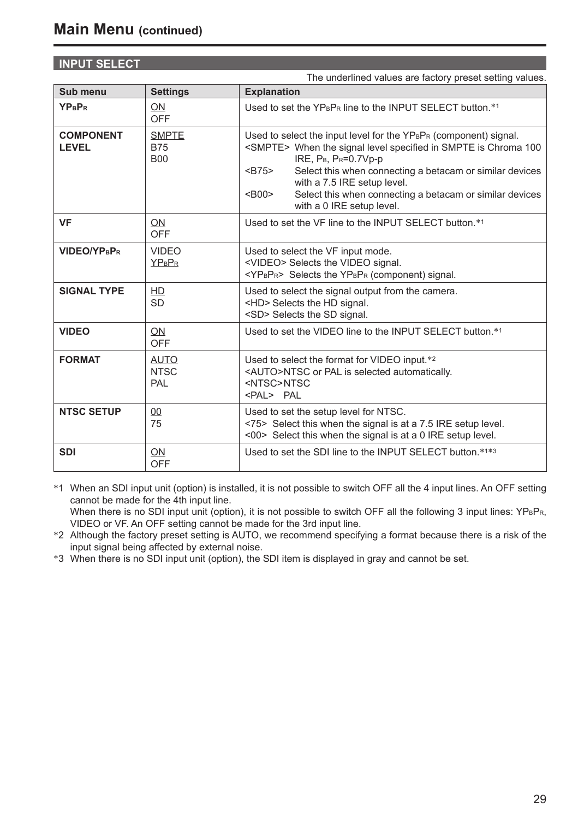# **INPUT SELECT**

|                                  |                                          | The underlined values are factory preset setting values.                                                                                                                                                                                                                                                                                                                                                                                            |
|----------------------------------|------------------------------------------|-----------------------------------------------------------------------------------------------------------------------------------------------------------------------------------------------------------------------------------------------------------------------------------------------------------------------------------------------------------------------------------------------------------------------------------------------------|
| Sub menu                         | <b>Settings</b>                          | <b>Explanation</b>                                                                                                                                                                                                                                                                                                                                                                                                                                  |
| <b>YPBPR</b>                     | <b>ON</b><br>OFF                         | Used to set the YPRPR line to the INPUT SELECT button.*1                                                                                                                                                                                                                                                                                                                                                                                            |
| <b>COMPONENT</b><br><b>LEVEL</b> | <b>SMPTE</b><br><b>B75</b><br><b>B00</b> | Used to select the input level for the YP <sub>B</sub> P <sub>R</sub> (component) signal.<br><smpte> When the signal level specified in SMPTE is Chroma 100<br/>IRE, P<sub>B</sub>, P<sub>R</sub>=0.7Vp-p<br/>Select this when connecting a betacam or similar devices<br/><math>B75</math><br/>with a 7.5 IRE setup level.<br/>Select this when connecting a betacam or similar devices<br/><math>B00</math><br/>with a 0 IRE setup level.</smpte> |
| VF                               | ON<br>OFF                                | Used to set the VF line to the INPUT SELECT button.*1                                                                                                                                                                                                                                                                                                                                                                                               |
| VIDEO/YPBPR                      | <b>VIDEO</b><br><b>YPBPR</b>             | Used to select the VF input mode.<br><video> Selects the VIDEO signal.<br/><yp<sub>BP<sub>R</sub>&gt; Selects the YP<sub>B</sub>P<sub>R</sub> (component) signal.</yp<sub></video>                                                                                                                                                                                                                                                                  |
| <b>SIGNAL TYPE</b>               | <b>HD</b><br><b>SD</b>                   | Used to select the signal output from the camera.<br><hd> Selects the HD signal.<br/><sd> Selects the SD signal.</sd></hd>                                                                                                                                                                                                                                                                                                                          |
| <b>VIDEO</b>                     | ON<br><b>OFF</b>                         | Used to set the VIDEO line to the INPUT SELECT button.*1                                                                                                                                                                                                                                                                                                                                                                                            |
| <b>FORMAT</b>                    | <b>AUTO</b><br><b>NTSC</b><br>PAL        | Used to select the format for VIDEO input.*2<br><auto>NTSC or PAL is selected automatically.<br/><ntsc>NTSC<br/><pal>PAL</pal></ntsc></auto>                                                                                                                                                                                                                                                                                                        |
| <b>NTSC SETUP</b>                | 00<br>75                                 | Used to set the setup level for NTSC.<br><75> Select this when the signal is at a 7.5 IRE setup level.<br><00> Select this when the signal is at a 0 IRE setup level.                                                                                                                                                                                                                                                                               |
| <b>SDI</b>                       | ON.<br>OFF                               | Used to set the SDI line to the INPUT SELECT button.*1*3                                                                                                                                                                                                                                                                                                                                                                                            |

∗1 When an SDI input unit (option) is installed, it is not possible to switch OFF all the 4 input lines. An OFF setting cannot be made for the 4th input line.

When there is no SDI input unit (option), it is not possible to switch OFF all the following 3 input lines: YPBPR, VIDEO or VF. An OFF setting cannot be made for the 3rd input line.

\*2 Although the factory preset setting is AUTO, we recommend specifying a format because there is a risk of the input signal being affected by external noise.

∗3 When there is no SDI input unit (option), the SDI item is displayed in gray and cannot be set.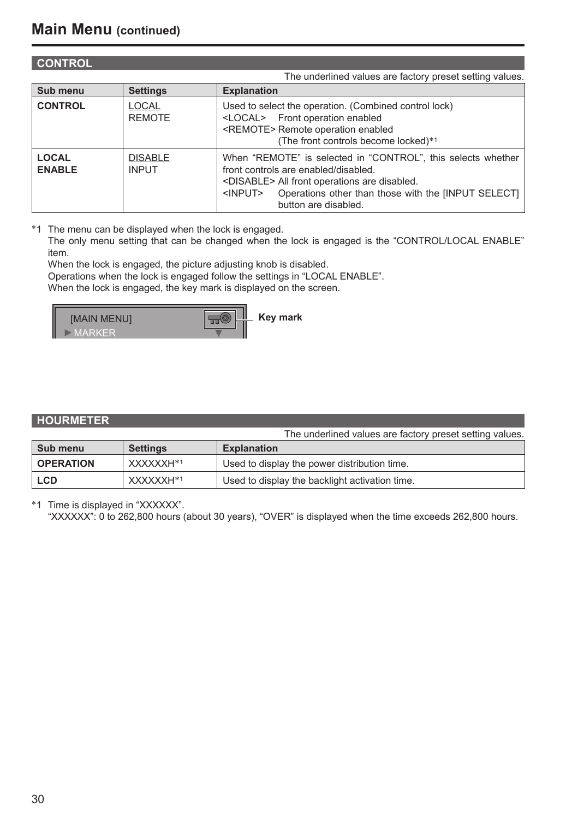| <b>CONTROL</b>                |                                |                                                                                                                                                                                                                                                              |
|-------------------------------|--------------------------------|--------------------------------------------------------------------------------------------------------------------------------------------------------------------------------------------------------------------------------------------------------------|
|                               |                                | The underlined values are factory preset setting values.                                                                                                                                                                                                     |
| Sub menu                      | <b>Settings</b>                | <b>Explanation</b>                                                                                                                                                                                                                                           |
| <b>CONTROL</b>                | <b>LOCAL</b><br><b>REMOTE</b>  | Used to select the operation. (Combined control lock)<br><local> Front operation enabled<br/><remote> Remote operation enabled<br/>(The front controls become locked)*1</remote></local>                                                                     |
| <b>LOCAL</b><br><b>ENABLE</b> | <b>DISABLE</b><br><b>INPUT</b> | When "REMOTE" is selected in "CONTROL", this selects whether<br>front controls are enabled/disabled.<br><disable> All front operations are disabled.<br/>Operations other than those with the [INPUT SELECT]<br/><input/><br/>button are disabled.</disable> |

∗1 The menu can be displayed when the lock is engaged.

 The only menu setting that can be changed when the lock is engaged is the "CONTROL/LOCAL ENABLE" item.

When the lock is engaged, the picture adjusting knob is disabled.

 Operations when the lock is engaged follow the settings in "LOCAL ENABLE". When the lock is engaged, the key mark is displayed on the screen.

**IMAIN MENUI Key mark**  $\overline{\mathbb{H}}$ MARKER

| <b>HOURMETER</b> |  |  |
|------------------|--|--|
|                  |  |  |

|                  |                 | The underlined values are factory preset setting values. |
|------------------|-----------------|----------------------------------------------------------|
| Sub menu         | <b>Settings</b> | <b>Explanation</b>                                       |
| <b>OPERATION</b> | XXXXXXH*1       | Used to display the power distribution time.             |
| <b>LCD</b>       | XXXXXXH*1       | Used to display the backlight activation time.           |

∗1 Time is displayed in "XXXXXX".

"XXXXXX": 0 to 262,800 hours (about 30 years), "OVER" is displayed when the time exceeds 262,800 hours.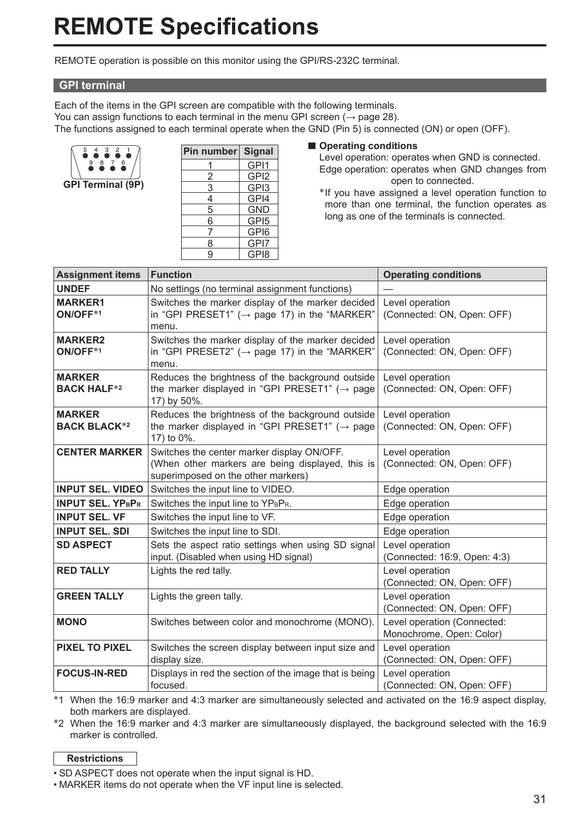# **REMOTE Specifications**

REMOTE operation is possible on this monitor using the GPI/RS-232C terminal.

### **GPI terminal**

Each of the items in the GPI screen are compatible with the following terminals. You can assign functions to each terminal in the menu GPI screen ( $\rightarrow$  page 28). The functions assigned to each terminal operate when the GND (Pin 5) is connected (ON) or open (OFF).



| Pin number Signal |                  |
|-------------------|------------------|
|                   | GP <sub>11</sub> |
| 2                 | GPI <sub>2</sub> |
| 3                 | GPI3             |
| 4                 | GPI4             |
| 5                 | <b>GND</b>       |
| 6                 | GPI <sub>5</sub> |
|                   | GPI6             |
| 8                 | GPI7             |
| q                 | GPI8             |

#### $\blacksquare$  Operating conditions

 Level operation: operates when GND is connected. Edge operation: operates when GND changes from open to connected.

 ∗ If you have assigned a level operation function to more than one terminal, the function operates as long as one of the terminals is connected.

| <b>Assignment items</b>              | <b>Function</b>                                                                                                                                                                       | <b>Operating conditions</b>                             |
|--------------------------------------|---------------------------------------------------------------------------------------------------------------------------------------------------------------------------------------|---------------------------------------------------------|
| <b>UNDEF</b>                         | No settings (no terminal assignment functions)                                                                                                                                        |                                                         |
| <b>MARKER1</b><br>ON/OFF*1           | Switches the marker display of the marker decided<br>Level operation<br>in "GPI PRESET1" ( $\rightarrow$ page 17) in the "MARKER"<br>(Connected: ON, Open: OFF)<br>menu.              |                                                         |
| <b>MARKER2</b><br>ON/OFF*1           | Switches the marker display of the marker decided<br>Level operation<br>in "GPI PRESET2" ( $\rightarrow$ page 17) in the "MARKER"<br>(Connected: ON, Open: OFF)<br>menu.              |                                                         |
| <b>MARKER</b><br><b>BACK HALF*2</b>  | Reduces the brightness of the background outside<br>the marker displayed in "GPI PRESET1" ( $\rightarrow$ page<br>17) by 50%.                                                         | Level operation<br>(Connected: ON, Open: OFF)           |
| <b>MARKER</b><br><b>BACK BLACK*2</b> | Reduces the brightness of the background outside<br>the marker displayed in "GPI PRESET1" ( $\rightarrow$ page<br>17) to 0%.                                                          | Level operation<br>(Connected: ON, Open: OFF)           |
| <b>CENTER MARKER</b>                 | Switches the center marker display ON/OFF.<br>Level operation<br>(When other markers are being displayed, this is<br>(Connected: ON, Open: OFF)<br>superimposed on the other markers) |                                                         |
| <b>INPUT SEL, VIDEO</b>              | Switches the input line to VIDEO.                                                                                                                                                     | Edge operation                                          |
| <b>INPUT SEL. YPBPR</b>              | Switches the input line to YPBPR.                                                                                                                                                     | Edge operation                                          |
| <b>INPUT SEL. VF</b>                 | Switches the input line to VF.                                                                                                                                                        | Edge operation                                          |
| <b>INPUT SEL, SDI</b>                | Switches the input line to SDI.                                                                                                                                                       | Edge operation                                          |
| <b>SD ASPECT</b>                     | Sets the aspect ratio settings when using SD signal<br>input. (Disabled when using HD signal)                                                                                         | Level operation<br>(Connected: 16:9, Open: 4:3)         |
| <b>RED TALLY</b>                     | Lights the red tally.                                                                                                                                                                 | Level operation<br>(Connected: ON, Open: OFF)           |
| <b>GREEN TALLY</b>                   | Lights the green tally.                                                                                                                                                               | Level operation<br>(Connected: ON, Open: OFF)           |
| <b>MONO</b>                          | Switches between color and monochrome (MONO).                                                                                                                                         | Level operation (Connected:<br>Monochrome, Open: Color) |
| <b>PIXEL TO PIXEL</b>                | Switches the screen display between input size and<br>display size.                                                                                                                   | Level operation<br>(Connected: ON, Open: OFF)           |
| <b>FOCUS-IN-RED</b>                  | Displays in red the section of the image that is being<br>focused.                                                                                                                    | Level operation<br>(Connected: ON, Open: OFF)           |

∗1 When the 16:9 marker and 4:3 marker are simultaneously selected and activated on the 16:9 aspect display, both markers are displayed.

∗2 When the 16:9 marker and 4:3 marker are simultaneously displayed, the background selected with the 16:9 marker is controlled.

### **Restrictions**

• SD ASPECT does not operate when the input signal is HD.

• MARKER items do not operate when the VF input line is selected.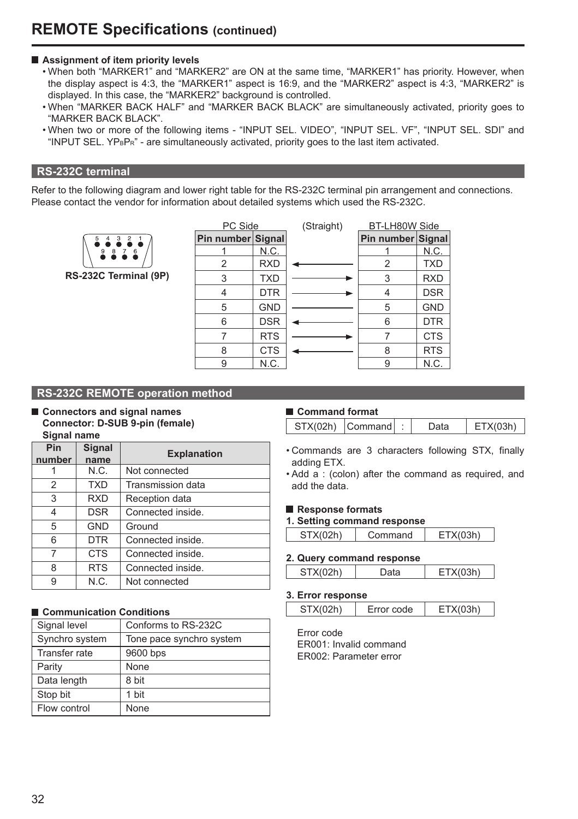#### **Assignment of item priority levels**

- When both "MARKER1" and "MARKER2" are ON at the same time, "MARKER1" has priority. However, when the display aspect is 4:3, the "MARKER1" aspect is 16:9, and the "MARKER2" aspect is 4:3, "MARKER2" is displayed. In this case, the "MARKER2" background is controlled.
- When "MARKER BACK HALF" and "MARKER BACK BLACK" are simultaneously activated, priority goes to "MARKER BACK BLACK".
- When two or more of the following items "INPUT SEL. VIDEO", "INPUT SEL. VF", "INPUT SEL. SDI" and "INPUT SEL.  $YP<sub>BPR</sub>$ " - are simultaneously activated, priority goes to the last item activated.

# **RS-232C terminal**

Refer to the following diagram and lower right table for the RS-232C terminal pin arrangement and connections. Please contact the vendor for information about detailed systems which used the RS-232C.

**RS-232C Terminal (9P)**

| PC Side           |            |  |  |
|-------------------|------------|--|--|
| Pin number Signal |            |  |  |
|                   | N.C.       |  |  |
| 2                 | <b>RXD</b> |  |  |
| 3                 | <b>TXD</b> |  |  |
| 4                 | <b>DTR</b> |  |  |
| 5                 | <b>GND</b> |  |  |
| 6                 | <b>DSR</b> |  |  |
| 7                 | <b>RTS</b> |  |  |
| 8                 | <b>CTS</b> |  |  |
| 9                 | N.C.       |  |  |

| PC Side           |            | (Straight) | <b>BT-LH80W Side</b> |            |
|-------------------|------------|------------|----------------------|------------|
| Pin number Signal |            |            | Pin number Signal    |            |
|                   | N.C.       |            |                      | N.C.       |
| 2                 | <b>RXD</b> |            | 2                    | <b>TXD</b> |
| 3                 | <b>TXD</b> |            | 3                    | <b>RXD</b> |
| 4                 | <b>DTR</b> |            | 4                    | <b>DSR</b> |
| 5                 | <b>GND</b> |            | 5                    | <b>GND</b> |
| 6                 | <b>DSR</b> |            | 6                    | <b>DTR</b> |
|                   | <b>RTS</b> |            |                      | <b>CTS</b> |
| 8                 | <b>CTS</b> |            | 8                    | <b>RTS</b> |
| 9                 | N.C.       |            | 9                    | N.C.       |

### **RS-232C REMOTE operation method**

■ Connectors and signal names  **Connector: D-SUB 9-pin (female) Signal name**

| Pin<br>number | Signal<br>name | <b>Explanation</b>       |
|---------------|----------------|--------------------------|
|               | N.C.           | Not connected            |
| 2             | <b>TXD</b>     | <b>Transmission data</b> |
| 3             | RXD            | Reception data           |
| 4             | <b>DSR</b>     | Connected inside.        |
| 5             | <b>GND</b>     | Ground                   |
| 6             | <b>DTR</b>     | Connected inside.        |
| 7             | CTS            | Connected inside.        |
| 8             | <b>RTS</b>     | Connected inside.        |
| 9             | N.C.           | Not connected            |

### ■ Communication Conditions

| Signal level   | Conforms to RS-232C      |
|----------------|--------------------------|
| Synchro system | Tone pace synchro system |
| Transfer rate  | 9600 bps                 |
| Parity         | None                     |
| Data length    | 8 bit                    |
| Stop bit       | 1 bit                    |
| Flow control   | None                     |
|                |                          |

## ■ Command format

| STX(02h) Command<br>)ata<br>FTX(0.3h) |
|---------------------------------------|
|---------------------------------------|

- Commands are 3 characters following STX, finally adding ETX.
- Add a : (colon) after the command as required, and add the data.

#### ■ Response formats

#### **1. Setting command response**

| STX(02h) | Command | FTV/N |
|----------|---------|-------|
|          |         |       |

#### **2. Query command response**

| EТ<br>ST.<br>$  -$<br>$- \cdot \cdot \cdot$ |
|---------------------------------------------|
|---------------------------------------------|

#### **3. Error response**

| STX(02h) | Error code | ETX(03h) |
|----------|------------|----------|
|----------|------------|----------|

 Error code ER001: Invalid command ER002: Parameter error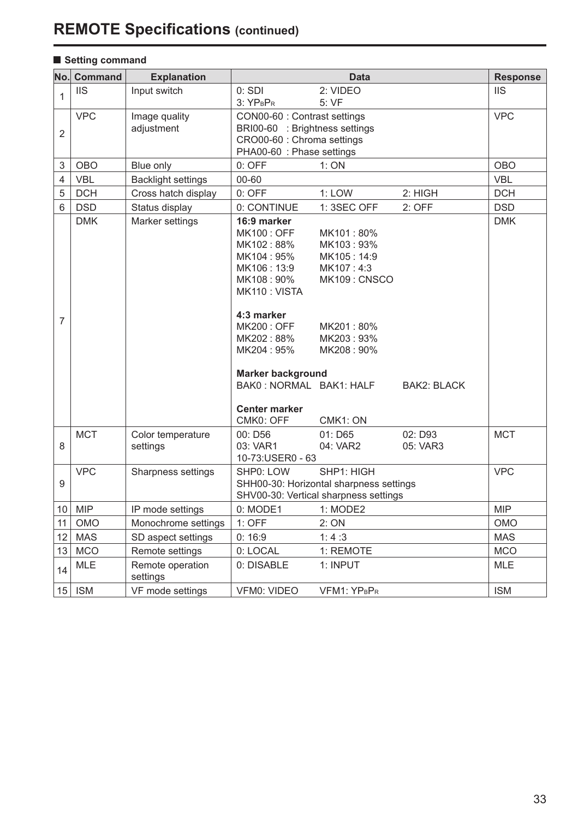# **REMOTE Specifications (continued)**

# **B** Setting command

| No.            | Command    | <b>Explanation</b>            |                                                                                                                                                                                                                                                           | Data                                                                                                                               |                     | <b>Response</b> |
|----------------|------------|-------------------------------|-----------------------------------------------------------------------------------------------------------------------------------------------------------------------------------------------------------------------------------------------------------|------------------------------------------------------------------------------------------------------------------------------------|---------------------|-----------------|
| 1              | <b>IIS</b> | Input switch                  | 0:SDI<br>3: YPBPR                                                                                                                                                                                                                                         | 2: VIDEO<br>5: VF                                                                                                                  |                     | <b>IIS</b>      |
| $\overline{2}$ | <b>VPC</b> | Image quality<br>adjustment   | CON00-60 : Contrast settings<br>BRI00-60 : Brightness settings<br>CRO00-60 : Chroma settings<br>PHA00-60 : Phase settings                                                                                                                                 |                                                                                                                                    |                     | <b>VPC</b>      |
| 3              | <b>OBO</b> | Blue only                     | $0:$ OFF                                                                                                                                                                                                                                                  | 1:ON                                                                                                                               |                     | <b>OBO</b>      |
| 4              | <b>VBL</b> | <b>Backlight settings</b>     | 00-60                                                                                                                                                                                                                                                     |                                                                                                                                    |                     | <b>VBL</b>      |
| 5              | <b>DCH</b> | Cross hatch display           | $0:$ OFF                                                                                                                                                                                                                                                  | $1:$ LOW                                                                                                                           | 2: HIGH             | <b>DCH</b>      |
| 6              | <b>DSD</b> | Status display                | 0: CONTINUE                                                                                                                                                                                                                                               | 1: 3SEC OFF                                                                                                                        | $2:$ OFF            | <b>DSD</b>      |
| $\overline{7}$ | <b>DMK</b> | Marker settings               | 16:9 marker<br><b>MK100: OFF</b><br>MK102:88%<br>MK104:95%<br>MK106: 13:9<br>MK108:90%<br>MK110: VISTA<br>4:3 marker<br><b>MK200: OFF</b><br>MK202:88%<br>MK204: 95%<br><b>Marker background</b><br>BAK0: NORMAL BAK1: HALF<br>Center marker<br>CMK0: OFF | MK101:80%<br>MK103:93%<br>MK105:14:9<br>MK107:4:3<br>MK109: CNSCO<br>MK201:80%<br>MK203:93%<br>MK208: 90%<br>CMK <sub>1</sub> : ON | <b>BAK2: BLACK</b>  | <b>DMK</b>      |
| 8              | <b>MCT</b> | Color temperature<br>settings | 00: D56<br>03: VAR1<br>10-73:USER0 - 63                                                                                                                                                                                                                   | $01:$ D65<br>04: VAR2                                                                                                              | 02: D93<br>05: VAR3 | <b>MCT</b>      |
| 9              | <b>VPC</b> | Sharpness settings            | SHP1: HIGH<br>SHP0: LOW<br>SHH00-30: Horizontal sharpness settings<br>SHV00-30: Vertical sharpness settings                                                                                                                                               |                                                                                                                                    |                     | <b>VPC</b>      |
| 10             | <b>MIP</b> | IP mode settings              | 0: MODE1                                                                                                                                                                                                                                                  | 1: MODE2                                                                                                                           |                     | <b>MIP</b>      |
| 11             | <b>OMO</b> | Monochrome settings           | $1:$ OFF                                                                                                                                                                                                                                                  | 2:ON                                                                                                                               |                     | <b>OMO</b>      |
| 12             | <b>MAS</b> | SD aspect settings            | 0:16:9                                                                                                                                                                                                                                                    | 1:4:3                                                                                                                              |                     | <b>MAS</b>      |
| 13             | <b>MCO</b> | Remote settings               | 0: LOCAL                                                                                                                                                                                                                                                  | 1: REMOTE                                                                                                                          |                     | <b>MCO</b>      |
| 14             | <b>MLE</b> | Remote operation<br>settings  | 0: DISABLE                                                                                                                                                                                                                                                | 1: INPUT                                                                                                                           |                     | <b>MLE</b>      |
| 15             | <b>ISM</b> | VF mode settings              | <b>VFM0: VIDEO</b>                                                                                                                                                                                                                                        | VFM1: YPBPR                                                                                                                        |                     | <b>ISM</b>      |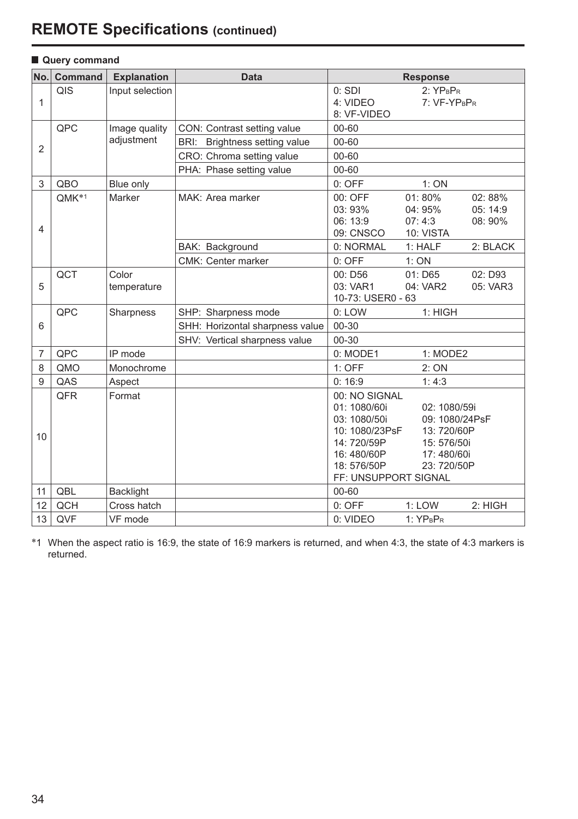# **REMOTE Specifications (continued)**

| No.            | Command           | <b>Explanation</b>   | <b>Data</b>                     |                                                                                                                                   | <b>Response</b>                                                                          |                               |
|----------------|-------------------|----------------------|---------------------------------|-----------------------------------------------------------------------------------------------------------------------------------|------------------------------------------------------------------------------------------|-------------------------------|
| 1              | QIS               | Input selection      |                                 | 0:SDI<br>4: VIDEO<br>8: VF-VIDEO                                                                                                  | $2:YP_BP_R$<br>7: VF-YPBPR                                                               |                               |
|                | QPC               | Image quality        | CON: Contrast setting value     | $00 - 60$                                                                                                                         |                                                                                          |                               |
| $\overline{2}$ |                   | adjustment           | BRI: Brightness setting value   | 00-60                                                                                                                             |                                                                                          |                               |
|                |                   |                      | CRO: Chroma setting value       | 00-60                                                                                                                             |                                                                                          |                               |
|                |                   |                      | PHA: Phase setting value        | 00-60                                                                                                                             |                                                                                          |                               |
| 3              | QBO               | Blue only            |                                 | $0:$ OFF                                                                                                                          | 1:ON                                                                                     |                               |
| $\overline{4}$ | OMK <sup>*1</sup> | Marker               | MAK: Area marker                | 00: OFF<br>03:93%<br>06:13:9<br>09: CNSCO                                                                                         | 01:80%<br>04: 95%<br>07:4:3<br>10: VISTA                                                 | 02:88%<br>05: 14:9<br>08: 90% |
|                |                   |                      | BAK: Background                 | 0: NORMAL                                                                                                                         | 1: HALF                                                                                  | 2: BLACK                      |
|                |                   |                      | CMK: Center marker              | 0: OFF                                                                                                                            | 1:ON                                                                                     |                               |
| 5              | QCT               | Color<br>temperature |                                 | 00: D56<br>03: VAR1<br>10-73: USER0 - 63                                                                                          | 01: D65<br>04: VAR2                                                                      | 02: D93<br>05: VAR3           |
|                | <b>OPC</b>        | Sharpness            | SHP: Sharpness mode             | 1: HIGH<br>0: LOW                                                                                                                 |                                                                                          |                               |
| 6              |                   |                      | SHH: Horizontal sharpness value | 00-30                                                                                                                             |                                                                                          |                               |
|                |                   |                      | SHV: Vertical sharpness value   | 00-30                                                                                                                             |                                                                                          |                               |
| $\overline{7}$ | QPC               | IP mode              |                                 | 0: MODE1                                                                                                                          | 1: MODE2                                                                                 |                               |
| 8              | QMO               | Monochrome           |                                 | $1:$ OFF                                                                                                                          | 2:ON                                                                                     |                               |
| 9              | QAS               | Aspect               |                                 | 0:16:9                                                                                                                            | 1:4:3                                                                                    |                               |
| 10             | QFR               | Format               |                                 | 00: NO SIGNAL<br>01:1080/60i<br>03: 1080/50i<br>10: 1080/23PsF<br>14: 720/59P<br>16:480/60P<br>18:576/50P<br>FF: UNSUPPORT SIGNAL | 02: 1080/59i<br>09: 1080/24PsF<br>13:720/60P<br>15: 576/50i<br>17:480/60i<br>23: 720/50P |                               |
| 11             | QBL               | <b>Backlight</b>     |                                 | 00-60                                                                                                                             |                                                                                          |                               |
| 12             | QCH               | Cross hatch          |                                 | $0:$ OFF                                                                                                                          | 1:LOW                                                                                    | 2: HIGH                       |
| 13             | QVF               | VF mode              |                                 | 0: VIDEO                                                                                                                          | $1:YP_BP_R$                                                                              |                               |

#### **Query command**

∗1 When the aspect ratio is 16:9, the state of 16:9 markers is returned, and when 4:3, the state of 4:3 markers is returned.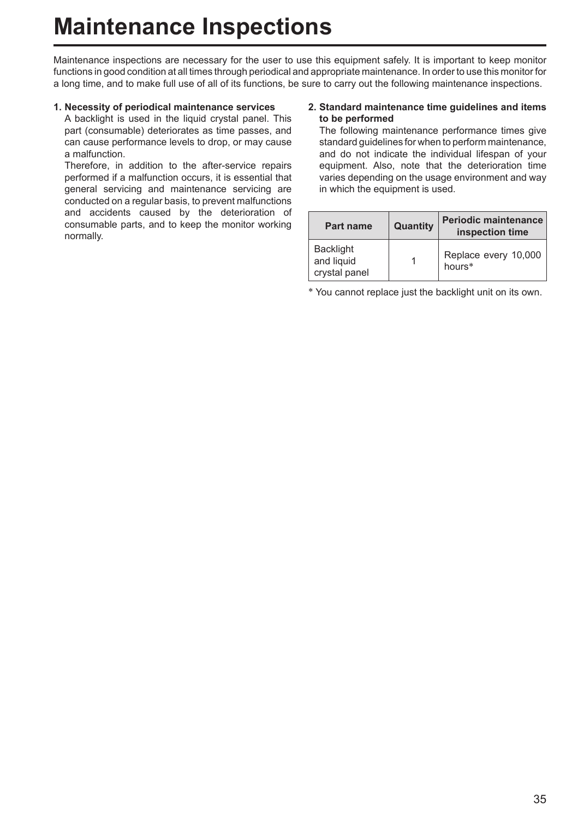# **Maintenance Inspections**

Maintenance inspections are necessary for the user to use this equipment safely. It is important to keep monitor functions in good condition at all times through periodical and appropriate maintenance. In order to use this monitor for a long time, and to make full use of all of its functions, be sure to carry out the following maintenance inspections.

### **1. Necessity of periodical maintenance services**

 A backlight is used in the liquid crystal panel. This part (consumable) deteriorates as time passes, and can cause performance levels to drop, or may cause a malfunction.

 Therefore, in addition to the after-service repairs performed if a malfunction occurs, it is essential that general servicing and maintenance servicing are conducted on a regular basis, to prevent malfunctions and accidents caused by the deterioration of consumable parts, and to keep the monitor working normally.

#### **2. Standard maintenance time guidelines and items to be performed**

 The following maintenance performance times give standard guidelines for when to perform maintenance, and do not indicate the individual lifespan of your equipment. Also, note that the deterioration time varies depending on the usage environment and way in which the equipment is used.

| Part name                                       | Quantity | <b>Periodic maintenance</b><br>inspection time |
|-------------------------------------------------|----------|------------------------------------------------|
| <b>Backlight</b><br>and liquid<br>crystal panel |          | Replace every 10,000<br>hours*                 |

∗ You cannot replace just the backlight unit on its own.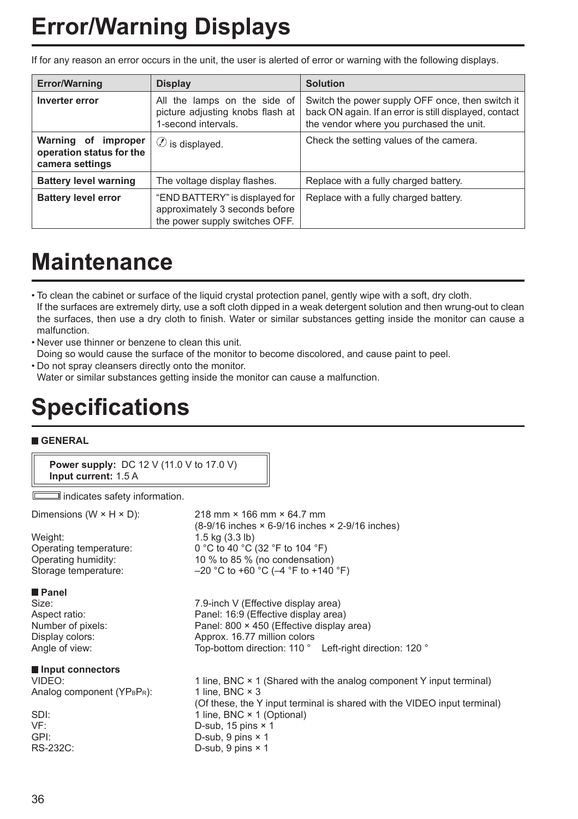# **Error/Warning Displays**

If for any reason an error occurs in the unit, the user is alerted of error or warning with the following displays.

| <b>Error/Warning</b>                                               | <b>Display</b>                                                                                     | <b>Solution</b>                                                                                                                                        |
|--------------------------------------------------------------------|----------------------------------------------------------------------------------------------------|--------------------------------------------------------------------------------------------------------------------------------------------------------|
| Inverter error                                                     | All the lamps on the side of<br>picture adjusting knobs flash at<br>1-second intervals.            | Switch the power supply OFF once, then switch it<br>back ON again. If an error is still displayed, contact<br>the vendor where you purchased the unit. |
| Warning of improper<br>operation status for the<br>camera settings | $\oslash$ is displayed.                                                                            | Check the setting values of the camera.                                                                                                                |
| <b>Battery level warning</b>                                       | The voltage display flashes.                                                                       | Replace with a fully charged battery.                                                                                                                  |
| <b>Battery level error</b>                                         | "END BATTERY" is displayed for<br>approximately 3 seconds before<br>the power supply switches OFF. | Replace with a fully charged battery.                                                                                                                  |

# **Maintenance**

• To clean the cabinet or surface of the liquid crystal protection panel, gently wipe with a soft, dry cloth. If the surfaces are extremely dirty, use a soft cloth dipped in a weak detergent solution and then wrung-out to clean the surfaces, then use a dry cloth to finish. Water or similar substances getting inside the monitor can cause a malfunction.

- Never use thinner or benzene to clean this unit. Doing so would cause the surface of the monitor to become discolored, and cause paint to peel.
- Do not spray cleansers directly onto the monitor.

Water or similar substances getting inside the monitor can cause a malfunction.

# **Specifications**

## **GENERAL**

**Power supply:** DC 12 V (11.0 V to 17.0 V) **Input current:** 1.5 A

 $\Box$  indicates safety information.

| Dimensions (W $\times$ H $\times$ D):<br>Weight:<br>Operating temperature:<br>Operating humidity:<br>Storage temperature: | 218 mm $\times$ 166 mm $\times$ 64.7 mm<br>$(8-9/16$ inches $\times$ 6-9/16 inches $\times$ 2-9/16 inches)<br>$1.5$ kg $(3.3$ lb)<br>0 °C to 40 °C (32 °F to 104 °F)<br>10 % to 85 % (no condensation)<br>$-20$ °C to +60 °C ( $-4$ °F to +140 °F) |
|---------------------------------------------------------------------------------------------------------------------------|----------------------------------------------------------------------------------------------------------------------------------------------------------------------------------------------------------------------------------------------------|
| <b>■ Panel</b><br>Size:<br>Aspect ratio:                                                                                  | 7.9-inch V (Effective display area)<br>Panel: 16:9 (Effective display area)                                                                                                                                                                        |
| Number of pixels:                                                                                                         | Panel: 800 × 450 (Effective display area)                                                                                                                                                                                                          |
| Display colors:                                                                                                           | Approx. 16.77 million colors                                                                                                                                                                                                                       |
| Angle of view:                                                                                                            | Top-bottom direction: 110 ° Left-right direction: 120 °                                                                                                                                                                                            |
| Input connectors                                                                                                          |                                                                                                                                                                                                                                                    |
| VIDEO:                                                                                                                    | 1 line, BNC $\times$ 1 (Shared with the analog component Y input terminal)                                                                                                                                                                         |
| Analog component (YPBPR):                                                                                                 | 1 line, BNC $\times$ 3                                                                                                                                                                                                                             |
|                                                                                                                           | (Of these, the Y input terminal is shared with the VIDEO input terminal)                                                                                                                                                                           |
| SDI:<br>VF:                                                                                                               | 1 line, BNC × 1 (Optional)<br>D-sub, 15 pins $\times$ 1                                                                                                                                                                                            |
| GPI:                                                                                                                      | D-sub, 9 pins $\times$ 1                                                                                                                                                                                                                           |
| RS-232C:                                                                                                                  | D-sub, $9$ pins $\times$ 1                                                                                                                                                                                                                         |
|                                                                                                                           |                                                                                                                                                                                                                                                    |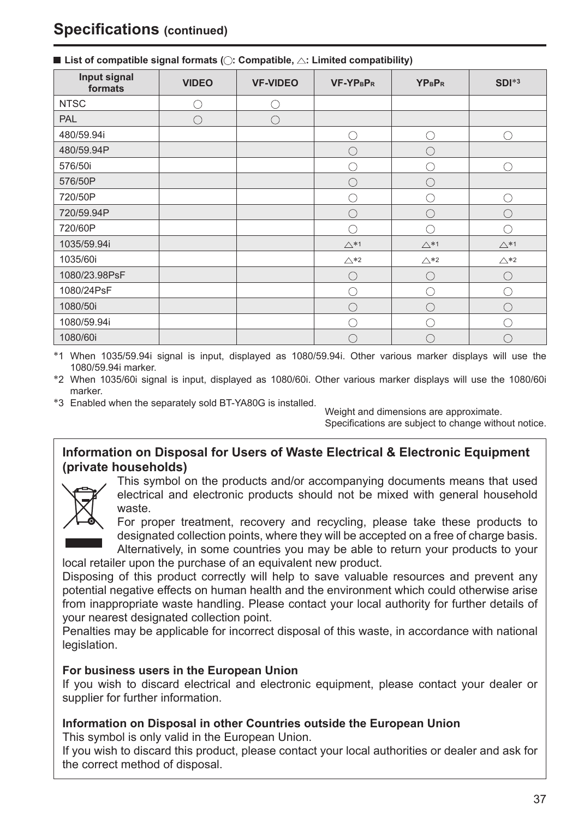| Input signal<br>formats | <b>VIDEO</b> | <b>VF-VIDEO</b> | <b>VF-YPBPR</b> | <b>YPBPR</b>   | $SDI^{*3}$     |
|-------------------------|--------------|-----------------|-----------------|----------------|----------------|
| <b>NTSC</b>             |              |                 |                 |                |                |
| <b>PAL</b>              | Ω            | . .             |                 |                |                |
| 480/59.94i              |              |                 |                 | ۰.             |                |
| 480/59.94P              |              |                 |                 |                |                |
| 576/50i                 |              |                 |                 |                |                |
| 576/50P                 |              |                 |                 |                |                |
| 720/50P                 |              |                 |                 |                |                |
| 720/59.94P              |              |                 |                 |                |                |
| 720/60P                 |              |                 |                 |                |                |
| 1035/59.94i             |              |                 | $\triangle *1$  | $\triangle *1$ | $\triangle *1$ |
| 1035/60i                |              |                 | $\triangle*2$   | $\triangle*2$  | $\triangle *2$ |
| 1080/23.98PsF           |              |                 |                 |                |                |
| 1080/24PsF              |              |                 |                 |                |                |
| 1080/50i                |              |                 |                 |                |                |
| 1080/59.94i             |              |                 |                 |                |                |
| 1080/60i                |              |                 |                 |                |                |

#### $\blacksquare$  List of compatible signal formats ( $\bigcirc$ : Compatible,  $\bigtriangleup$ : Limited compatibility)

∗1 When 1035/59.94i signal is input, displayed as 1080/59.94i. Other various marker displays will use the 1080/59.94i marker.

∗2 When 1035/60i signal is input, displayed as 1080/60i. Other various marker displays will use the 1080/60i marker.<br>∗3 Enabled when the separately sold BT-YA80G is installed. Weight and dimensions are approximate.

Specifications are subject to change without notice.

# **Information on Disposal for Users of Waste Electrical & Electronic Equipment (private households)**



This symbol on the products and/or accompanying documents means that used electrical and electronic products should not be mixed with general household waste.



For proper treatment, recovery and recycling, please take these products to designated collection points, where they will be accepted on a free of charge basis. Alternatively, in some countries you may be able to return your products to your

local retailer upon the purchase of an equivalent new product.

Disposing of this product correctly will help to save valuable resources and prevent any potential negative effects on human health and the environment which could otherwise arise from inappropriate waste handling. Please contact your local authority for further details of your nearest designated collection point.

Penalties may be applicable for incorrect disposal of this waste, in accordance with national legislation.

## **For business users in the European Union**

If you wish to discard electrical and electronic equipment, please contact your dealer or supplier for further information.

## **Information on Disposal in other Countries outside the European Union**

This symbol is only valid in the European Union.

If you wish to discard this product, please contact your local authorities or dealer and ask for the correct method of disposal.